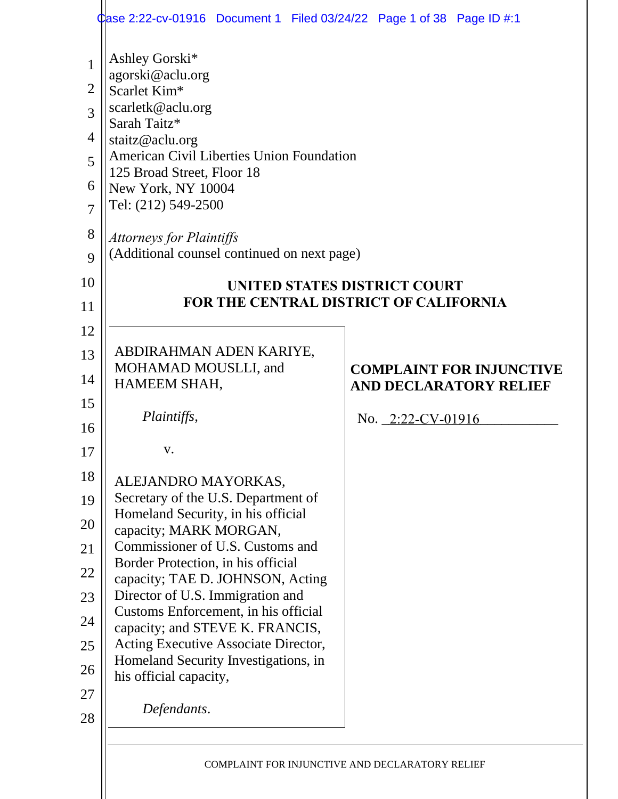|                                                                                                   | Case 2:22-cv-01916 Document 1 Filed 03/24/22 Page 1 of 38 Page ID #:1                                                                                                                                                                                                                                                |                                                                  |  |  |  |
|---------------------------------------------------------------------------------------------------|----------------------------------------------------------------------------------------------------------------------------------------------------------------------------------------------------------------------------------------------------------------------------------------------------------------------|------------------------------------------------------------------|--|--|--|
| $\mathbf{1}$<br>$\overline{2}$<br>$\overline{3}$<br>4<br>5<br>6<br>$\overline{7}$<br>8<br>9<br>10 | Ashley Gorski*<br>agorski@aclu.org<br>Scarlet Kim*<br>scarletk@aclu.org<br>Sarah Taitz*<br>staitz@aclu.org<br>American Civil Liberties Union Foundation<br>125 Broad Street, Floor 18<br>New York, NY 10004<br>Tel: (212) 549-2500<br><b>Attorneys for Plaintiffs</b><br>(Additional counsel continued on next page) | UNITED STATES DISTRICT COURT                                     |  |  |  |
| 11                                                                                                | <b>FOR THE CENTRAL DISTRICT OF CALIFORNIA</b>                                                                                                                                                                                                                                                                        |                                                                  |  |  |  |
| 12                                                                                                |                                                                                                                                                                                                                                                                                                                      |                                                                  |  |  |  |
| 13                                                                                                | ABDIRAHMAN ADEN KARIYE,                                                                                                                                                                                                                                                                                              |                                                                  |  |  |  |
| 14                                                                                                | MOHAMAD MOUSLLI, and<br>HAMEEM SHAH,                                                                                                                                                                                                                                                                                 | <b>COMPLAINT FOR INJUNCTIVE</b><br><b>AND DECLARATORY RELIEF</b> |  |  |  |
| 15                                                                                                |                                                                                                                                                                                                                                                                                                                      |                                                                  |  |  |  |
| 16                                                                                                | Plaintiffs,                                                                                                                                                                                                                                                                                                          | No. $2:22$ -CV-01916                                             |  |  |  |
| 17                                                                                                | V.                                                                                                                                                                                                                                                                                                                   |                                                                  |  |  |  |
| 18                                                                                                | ALEJANDRO MAYORKAS,                                                                                                                                                                                                                                                                                                  |                                                                  |  |  |  |
| 19                                                                                                | Secretary of the U.S. Department of                                                                                                                                                                                                                                                                                  |                                                                  |  |  |  |
| 20                                                                                                | Homeland Security, in his official<br>capacity; MARK MORGAN,                                                                                                                                                                                                                                                         |                                                                  |  |  |  |
| 21                                                                                                | Commissioner of U.S. Customs and                                                                                                                                                                                                                                                                                     |                                                                  |  |  |  |
| 22                                                                                                | Border Protection, in his official<br>capacity; TAE D. JOHNSON, Acting                                                                                                                                                                                                                                               |                                                                  |  |  |  |
| 23                                                                                                | Director of U.S. Immigration and                                                                                                                                                                                                                                                                                     |                                                                  |  |  |  |
| 24                                                                                                | Customs Enforcement, in his official<br>capacity; and STEVE K. FRANCIS,                                                                                                                                                                                                                                              |                                                                  |  |  |  |
| 25                                                                                                | Acting Executive Associate Director,                                                                                                                                                                                                                                                                                 |                                                                  |  |  |  |
| 26                                                                                                | Homeland Security Investigations, in                                                                                                                                                                                                                                                                                 |                                                                  |  |  |  |
| 27                                                                                                | his official capacity,                                                                                                                                                                                                                                                                                               |                                                                  |  |  |  |
| 28                                                                                                | Defendants.                                                                                                                                                                                                                                                                                                          |                                                                  |  |  |  |
|                                                                                                   |                                                                                                                                                                                                                                                                                                                      |                                                                  |  |  |  |
|                                                                                                   | COMPLAINT FOR INJUNCTIVE AND DECLARATORY RELIEF                                                                                                                                                                                                                                                                      |                                                                  |  |  |  |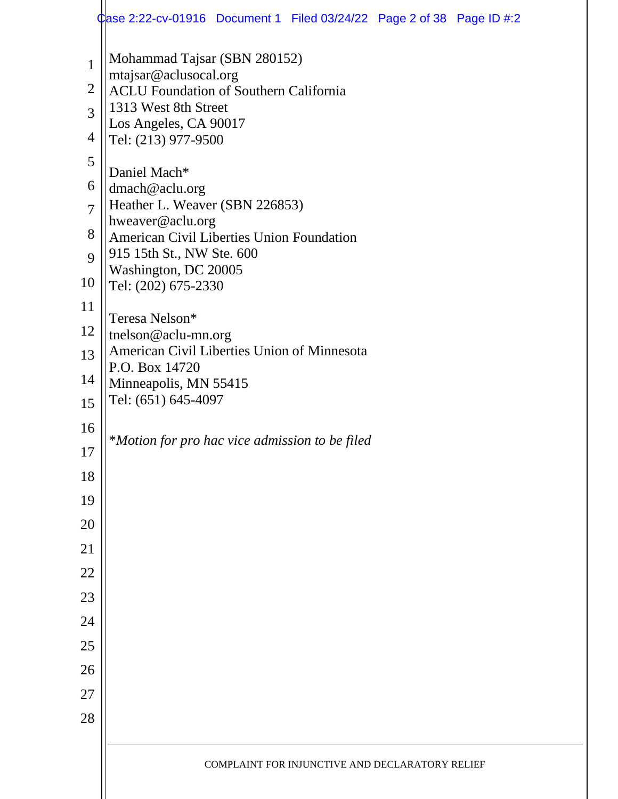|                | $\alpha$ ase 2:22-cv-01916 Document 1 Filed 03/24/22 Page 2 of 38 Page ID #:2                  |  |  |  |  |  |  |  |  |  |
|----------------|------------------------------------------------------------------------------------------------|--|--|--|--|--|--|--|--|--|
| $\mathbf{1}$   | Mohammad Tajsar (SBN 280152)                                                                   |  |  |  |  |  |  |  |  |  |
| $\overline{2}$ | mtajsar@aclusocal.org<br><b>ACLU Foundation of Southern California</b><br>1313 West 8th Street |  |  |  |  |  |  |  |  |  |
| $\overline{3}$ |                                                                                                |  |  |  |  |  |  |  |  |  |
| 4              | Los Angeles, CA 90017<br>Tel: (213) 977-9500                                                   |  |  |  |  |  |  |  |  |  |
| 5              | Daniel Mach*                                                                                   |  |  |  |  |  |  |  |  |  |
| 6              | dmach@aclu.org                                                                                 |  |  |  |  |  |  |  |  |  |
| $\overline{7}$ | Heather L. Weaver (SBN 226853)<br>hweaver@aclu.org                                             |  |  |  |  |  |  |  |  |  |
| 8              | American Civil Liberties Union Foundation                                                      |  |  |  |  |  |  |  |  |  |
| 9              | 915 15th St., NW Ste. 600<br>Washington, DC 20005                                              |  |  |  |  |  |  |  |  |  |
| 10             | Tel: (202) 675-2330                                                                            |  |  |  |  |  |  |  |  |  |
| 11             | Teresa Nelson*                                                                                 |  |  |  |  |  |  |  |  |  |
| 12<br>13       | tnelson@aclu-mn.org<br>American Civil Liberties Union of Minnesota                             |  |  |  |  |  |  |  |  |  |
| 14             | P.O. Box 14720                                                                                 |  |  |  |  |  |  |  |  |  |
| 15             | Minneapolis, MN 55415<br>Tel: (651) 645-4097                                                   |  |  |  |  |  |  |  |  |  |
| 16             |                                                                                                |  |  |  |  |  |  |  |  |  |
| 17             | *Motion for pro hac vice admission to be filed                                                 |  |  |  |  |  |  |  |  |  |
| 18             |                                                                                                |  |  |  |  |  |  |  |  |  |
| 19             |                                                                                                |  |  |  |  |  |  |  |  |  |
| 20             |                                                                                                |  |  |  |  |  |  |  |  |  |
| 21             |                                                                                                |  |  |  |  |  |  |  |  |  |
| 22             |                                                                                                |  |  |  |  |  |  |  |  |  |
| 23             |                                                                                                |  |  |  |  |  |  |  |  |  |
| 24             |                                                                                                |  |  |  |  |  |  |  |  |  |
| 25             |                                                                                                |  |  |  |  |  |  |  |  |  |
| 26             |                                                                                                |  |  |  |  |  |  |  |  |  |
| 27             |                                                                                                |  |  |  |  |  |  |  |  |  |
| 28             |                                                                                                |  |  |  |  |  |  |  |  |  |
|                | COMPLAINT FOR INJUNCTIVE AND DECLARATORY RELIEF                                                |  |  |  |  |  |  |  |  |  |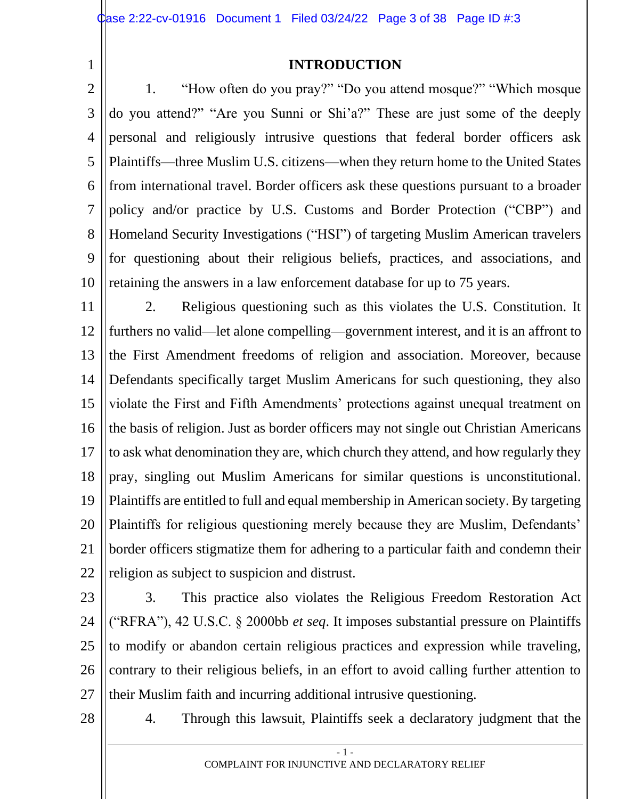1

#### **INTRODUCTION**

2 3 4 5 6 7 8 9 10 1. "How often do you pray?" "Do you attend mosque?" "Which mosque do you attend?" "Are you Sunni or Shi'a?" These are just some of the deeply personal and religiously intrusive questions that federal border officers ask Plaintiffs—three Muslim U.S. citizens—when they return home to the United States from international travel. Border officers ask these questions pursuant to a broader policy and/or practice by U.S. Customs and Border Protection ("CBP") and Homeland Security Investigations ("HSI") of targeting Muslim American travelers for questioning about their religious beliefs, practices, and associations, and retaining the answers in a law enforcement database for up to 75 years.

11 12 13 14 15 16 17 18 19 20 21 22 2. Religious questioning such as this violates the U.S. Constitution. It furthers no valid—let alone compelling—government interest, and it is an affront to the First Amendment freedoms of religion and association. Moreover, because Defendants specifically target Muslim Americans for such questioning, they also violate the First and Fifth Amendments' protections against unequal treatment on the basis of religion. Just as border officers may not single out Christian Americans to ask what denomination they are, which church they attend, and how regularly they pray, singling out Muslim Americans for similar questions is unconstitutional. Plaintiffs are entitled to full and equal membership in American society. By targeting Plaintiffs for religious questioning merely because they are Muslim, Defendants' border officers stigmatize them for adhering to a particular faith and condemn their religion as subject to suspicion and distrust.

23 24 25 26 27 3. This practice also violates the Religious Freedom Restoration Act ("RFRA"), 42 U.S.C. § 2000bb *et seq*. It imposes substantial pressure on Plaintiffs to modify or abandon certain religious practices and expression while traveling, contrary to their religious beliefs, in an effort to avoid calling further attention to their Muslim faith and incurring additional intrusive questioning.

28

4. Through this lawsuit, Plaintiffs seek a declaratory judgment that the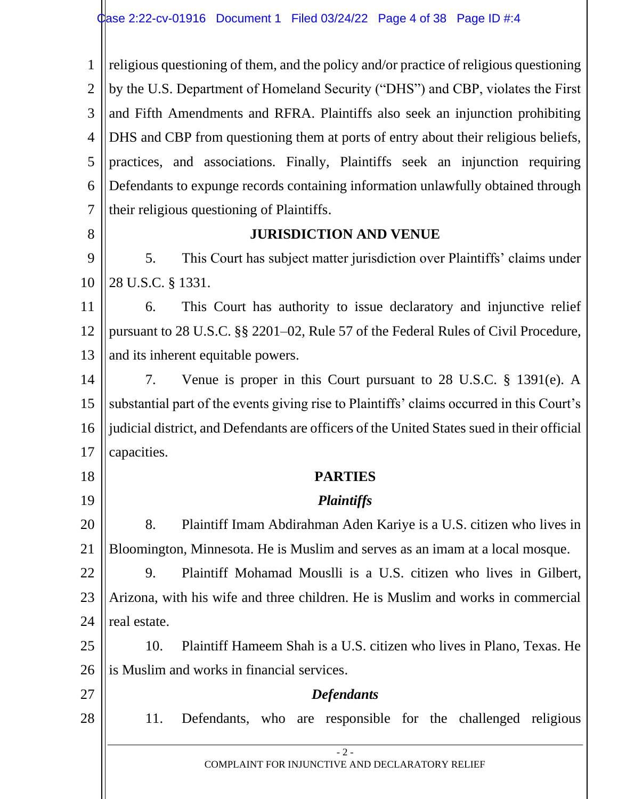1 2 3 4 5 6 7 8 9 10 11 12 13 14 15 16 17 18 19 20 21 22 23 24 25 26 27 28 religious questioning of them, and the policy and/or practice of religious questioning by the U.S. Department of Homeland Security ("DHS") and CBP, violates the First and Fifth Amendments and RFRA. Plaintiffs also seek an injunction prohibiting DHS and CBP from questioning them at ports of entry about their religious beliefs, practices, and associations. Finally, Plaintiffs seek an injunction requiring Defendants to expunge records containing information unlawfully obtained through their religious questioning of Plaintiffs. **JURISDICTION AND VENUE** 5. This Court has subject matter jurisdiction over Plaintiffs' claims under 28 U.S.C. § 1331. 6. This Court has authority to issue declaratory and injunctive relief pursuant to 28 U.S.C. §§ 2201–02, Rule 57 of the Federal Rules of Civil Procedure, and its inherent equitable powers. 7. Venue is proper in this Court pursuant to 28 U.S.C. § 1391(e). A substantial part of the events giving rise to Plaintiffs' claims occurred in this Court's judicial district, and Defendants are officers of the United States sued in their official capacities. **PARTIES** *Plaintiffs* 8. Plaintiff Imam Abdirahman Aden Kariye is a U.S. citizen who lives in Bloomington, Minnesota. He is Muslim and serves as an imam at a local mosque. 9. Plaintiff Mohamad Mouslli is a U.S. citizen who lives in Gilbert, Arizona, with his wife and three children. He is Muslim and works in commercial real estate. 10. Plaintiff Hameem Shah is a U.S. citizen who lives in Plano, Texas. He is Muslim and works in financial services. *Defendants* 11. Defendants, who are responsible for the challenged religious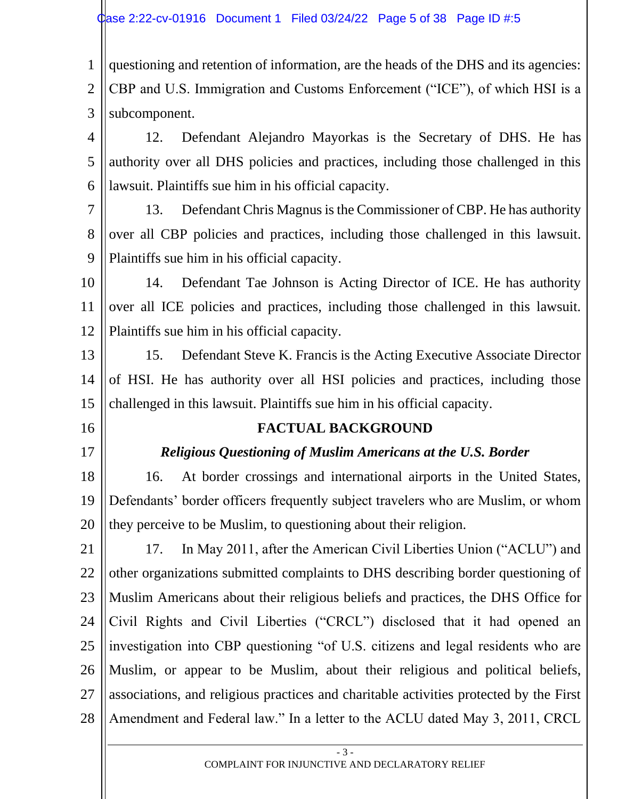1 2 3 questioning and retention of information, are the heads of the DHS and its agencies: CBP and U.S. Immigration and Customs Enforcement ("ICE"), of which HSI is a subcomponent.

4 5 6 12. Defendant Alejandro Mayorkas is the Secretary of DHS. He has authority over all DHS policies and practices, including those challenged in this lawsuit. Plaintiffs sue him in his official capacity.

- 7 8 9 13. Defendant Chris Magnus is the Commissioner of CBP. He has authority over all CBP policies and practices, including those challenged in this lawsuit. Plaintiffs sue him in his official capacity.
- 10 11 12 14. Defendant Tae Johnson is Acting Director of ICE. He has authority over all ICE policies and practices, including those challenged in this lawsuit. Plaintiffs sue him in his official capacity.
- 13 14 15 15. Defendant Steve K. Francis is the Acting Executive Associate Director of HSI. He has authority over all HSI policies and practices, including those challenged in this lawsuit. Plaintiffs sue him in his official capacity.
- 16
- 17

#### **FACTUAL BACKGROUND**

## *Religious Questioning of Muslim Americans at the U.S. Border*

18 19 20 16. At border crossings and international airports in the United States, Defendants' border officers frequently subject travelers who are Muslim, or whom they perceive to be Muslim, to questioning about their religion.

21 22 23 24 25 26 27 28 17. In May 2011, after the American Civil Liberties Union ("ACLU") and other organizations submitted complaints to DHS describing border questioning of Muslim Americans about their religious beliefs and practices, the DHS Office for Civil Rights and Civil Liberties ("CRCL") disclosed that it had opened an investigation into CBP questioning "of U.S. citizens and legal residents who are Muslim, or appear to be Muslim, about their religious and political beliefs, associations, and religious practices and charitable activities protected by the First Amendment and Federal law." In a letter to the ACLU dated May 3, 2011, CRCL

> - 3 - COMPLAINT FOR INJUNCTIVE AND DECLARATORY RELIEF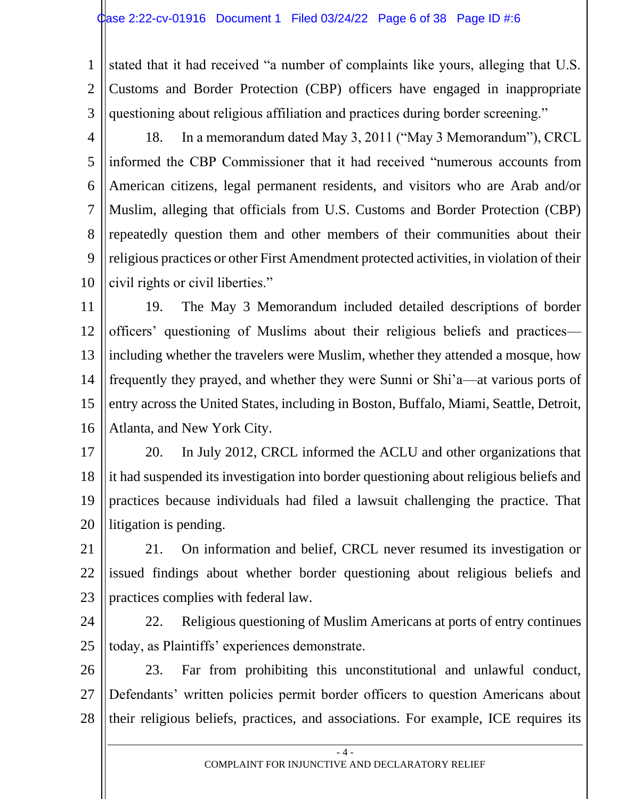1 2 3 stated that it had received "a number of complaints like yours, alleging that U.S. Customs and Border Protection (CBP) officers have engaged in inappropriate questioning about religious affiliation and practices during border screening."

4

5 6 7 8 9 10 18. In a memorandum dated May 3, 2011 ("May 3 Memorandum"), CRCL informed the CBP Commissioner that it had received "numerous accounts from American citizens, legal permanent residents, and visitors who are Arab and/or Muslim, alleging that officials from U.S. Customs and Border Protection (CBP) repeatedly question them and other members of their communities about their religious practices or other First Amendment protected activities, in violation of their civil rights or civil liberties."

11 12 13 14 15 16 19. The May 3 Memorandum included detailed descriptions of border officers' questioning of Muslims about their religious beliefs and practices including whether the travelers were Muslim, whether they attended a mosque, how frequently they prayed, and whether they were Sunni or Shi'a—at various ports of entry across the United States, including in Boston, Buffalo, Miami, Seattle, Detroit, Atlanta, and New York City.

17 18 19 20 20. In July 2012, CRCL informed the ACLU and other organizations that it had suspended its investigation into border questioning about religious beliefs and practices because individuals had filed a lawsuit challenging the practice. That litigation is pending.

21 22 23 21. On information and belief, CRCL never resumed its investigation or issued findings about whether border questioning about religious beliefs and practices complies with federal law.

24

25 22. Religious questioning of Muslim Americans at ports of entry continues today, as Plaintiffs' experiences demonstrate.

26 27 28 23. Far from prohibiting this unconstitutional and unlawful conduct, Defendants' written policies permit border officers to question Americans about their religious beliefs, practices, and associations. For example, ICE requires its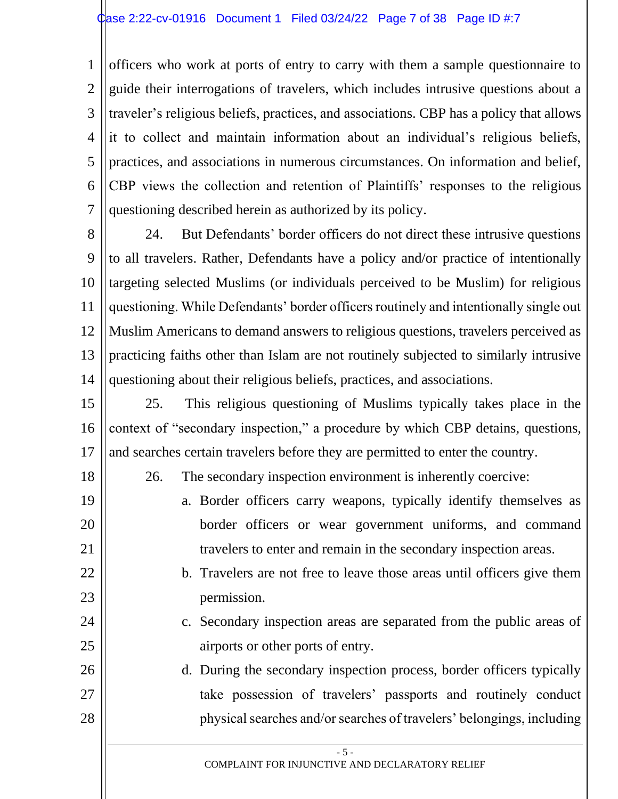1 2 3 4 5 6 7 officers who work at ports of entry to carry with them a sample questionnaire to guide their interrogations of travelers, which includes intrusive questions about a traveler's religious beliefs, practices, and associations. CBP has a policy that allows it to collect and maintain information about an individual's religious beliefs, practices, and associations in numerous circumstances. On information and belief, CBP views the collection and retention of Plaintiffs' responses to the religious questioning described herein as authorized by its policy.

8 9 10 11 12 13 14 24. But Defendants' border officers do not direct these intrusive questions to all travelers. Rather, Defendants have a policy and/or practice of intentionally targeting selected Muslims (or individuals perceived to be Muslim) for religious questioning. While Defendants' border officers routinely and intentionally single out Muslim Americans to demand answers to religious questions, travelers perceived as practicing faiths other than Islam are not routinely subjected to similarly intrusive questioning about their religious beliefs, practices, and associations.

15 16 17 25. This religious questioning of Muslims typically takes place in the context of "secondary inspection," a procedure by which CBP detains, questions, and searches certain travelers before they are permitted to enter the country.

18

19

20

21

22

23

24

25

26

27

28

26. The secondary inspection environment is inherently coercive:

- a. Border officers carry weapons, typically identify themselves as border officers or wear government uniforms, and command travelers to enter and remain in the secondary inspection areas.
- b. Travelers are not free to leave those areas until officers give them permission.
- c. Secondary inspection areas are separated from the public areas of airports or other ports of entry.
- d. During the secondary inspection process, border officers typically take possession of travelers' passports and routinely conduct physical searches and/or searches of travelers' belongings, including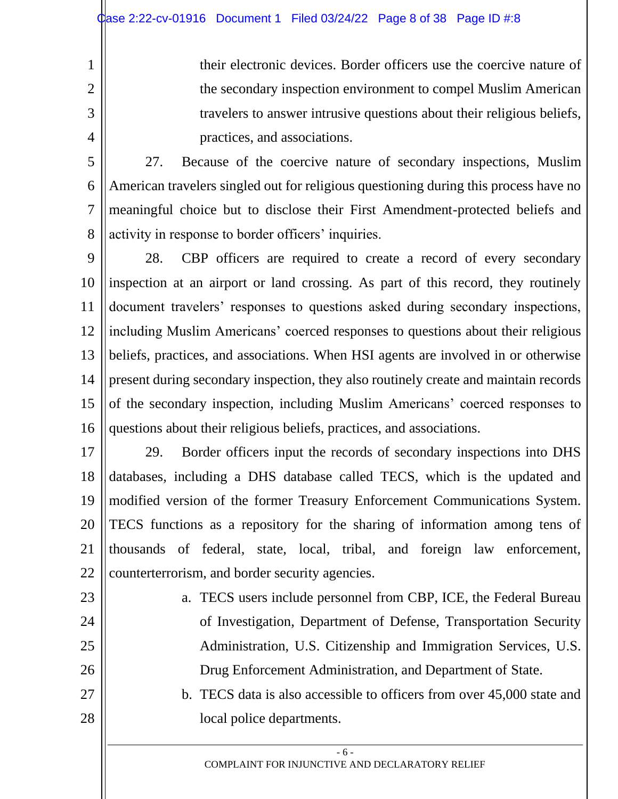their electronic devices. Border officers use the coercive nature of the secondary inspection environment to compel Muslim American travelers to answer intrusive questions about their religious beliefs, practices, and associations.

5 6 7 8 27. Because of the coercive nature of secondary inspections, Muslim American travelers singled out for religious questioning during this process have no meaningful choice but to disclose their First Amendment-protected beliefs and activity in response to border officers' inquiries.

9 10 11 12 13 14 15 16 28. CBP officers are required to create a record of every secondary inspection at an airport or land crossing. As part of this record, they routinely document travelers' responses to questions asked during secondary inspections, including Muslim Americans' coerced responses to questions about their religious beliefs, practices, and associations. When HSI agents are involved in or otherwise present during secondary inspection, they also routinely create and maintain records of the secondary inspection, including Muslim Americans' coerced responses to questions about their religious beliefs, practices, and associations.

17 18 19 20 21 22 29. Border officers input the records of secondary inspections into DHS databases, including a DHS database called TECS, which is the updated and modified version of the former Treasury Enforcement Communications System. TECS functions as a repository for the sharing of information among tens of thousands of federal, state, local, tribal, and foreign law enforcement, counterterrorism, and border security agencies.

23 24

25

26

27

28

1

2

3

4

a. TECS users include personnel from CBP, ICE, the Federal Bureau of Investigation, Department of Defense, Transportation Security Administration, U.S. Citizenship and Immigration Services, U.S. Drug Enforcement Administration, and Department of State.

b. TECS data is also accessible to officers from over 45,000 state and local police departments.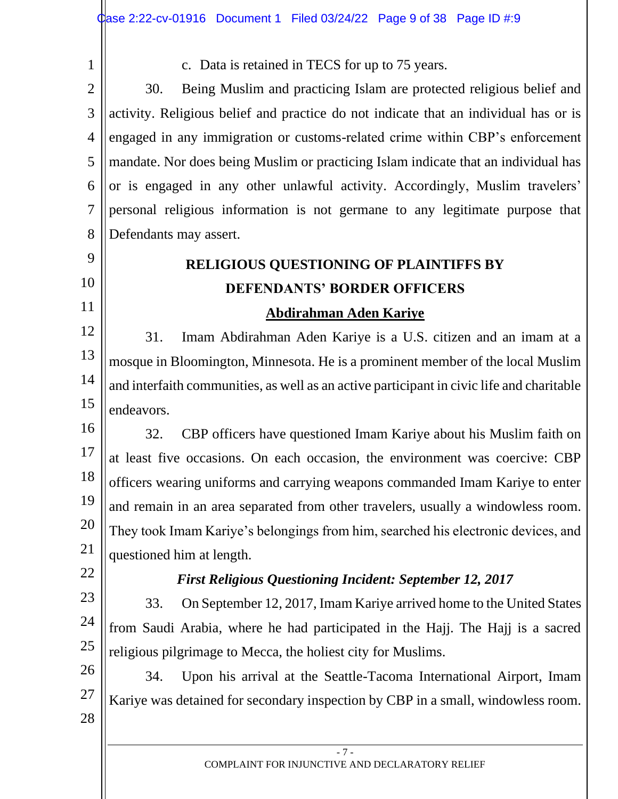1

9

10

11

c. Data is retained in TECS for up to 75 years.

2 3 4 5 6 7 8 30. Being Muslim and practicing Islam are protected religious belief and activity. Religious belief and practice do not indicate that an individual has or is engaged in any immigration or customs-related crime within CBP's enforcement mandate. Nor does being Muslim or practicing Islam indicate that an individual has or is engaged in any other unlawful activity. Accordingly, Muslim travelers' personal religious information is not germane to any legitimate purpose that Defendants may assert.

# **RELIGIOUS QUESTIONING OF PLAINTIFFS BY DEFENDANTS' BORDER OFFICERS**

# **Abdirahman Aden Kariye**

12 13 14 15 31. Imam Abdirahman Aden Kariye is a U.S. citizen and an imam at a mosque in Bloomington, Minnesota. He is a prominent member of the local Muslim and interfaith communities, as well as an active participant in civic life and charitable endeavors.

16 17 18 19 20 21 32. CBP officers have questioned Imam Kariye about his Muslim faith on at least five occasions. On each occasion, the environment was coercive: CBP officers wearing uniforms and carrying weapons commanded Imam Kariye to enter and remain in an area separated from other travelers, usually a windowless room. They took Imam Kariye's belongings from him, searched his electronic devices, and questioned him at length.

22

## *First Religious Questioning Incident: September 12, 2017*

23 24 25 33. On September 12, 2017, Imam Kariye arrived home to the United States from Saudi Arabia, where he had participated in the Hajj. The Hajj is a sacred religious pilgrimage to Mecca, the holiest city for Muslims.

26 27 28 34. Upon his arrival at the Seattle-Tacoma International Airport, Imam Kariye was detained for secondary inspection by CBP in a small, windowless room.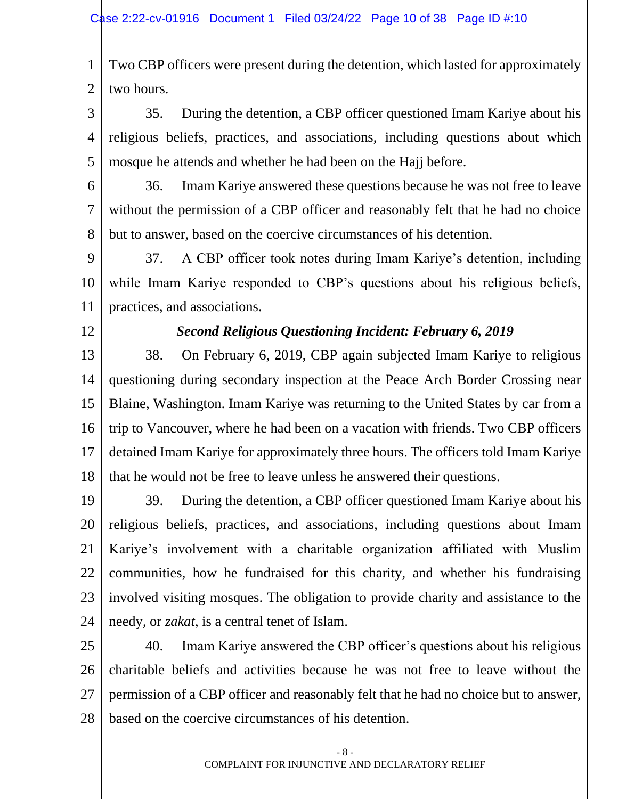1 2 Two CBP officers were present during the detention, which lasted for approximately two hours.

3 4 5 35. During the detention, a CBP officer questioned Imam Kariye about his religious beliefs, practices, and associations, including questions about which mosque he attends and whether he had been on the Hajj before.

6 7 8 36. Imam Kariye answered these questions because he was not free to leave without the permission of a CBP officer and reasonably felt that he had no choice but to answer, based on the coercive circumstances of his detention.

9 10 11 37. A CBP officer took notes during Imam Kariye's detention, including while Imam Kariye responded to CBP's questions about his religious beliefs, practices, and associations.

12

#### *Second Religious Questioning Incident: February 6, 2019*

13 14 15 16 17 18 38. On February 6, 2019, CBP again subjected Imam Kariye to religious questioning during secondary inspection at the Peace Arch Border Crossing near Blaine, Washington. Imam Kariye was returning to the United States by car from a trip to Vancouver, where he had been on a vacation with friends. Two CBP officers detained Imam Kariye for approximately three hours. The officers told Imam Kariye that he would not be free to leave unless he answered their questions.

19 20 21 22 23 24 39. During the detention, a CBP officer questioned Imam Kariye about his religious beliefs, practices, and associations, including questions about Imam Kariye's involvement with a charitable organization affiliated with Muslim communities, how he fundraised for this charity, and whether his fundraising involved visiting mosques. The obligation to provide charity and assistance to the needy, or *zakat*, is a central tenet of Islam.

25 26 27 28 40. Imam Kariye answered the CBP officer's questions about his religious charitable beliefs and activities because he was not free to leave without the permission of a CBP officer and reasonably felt that he had no choice but to answer, based on the coercive circumstances of his detention.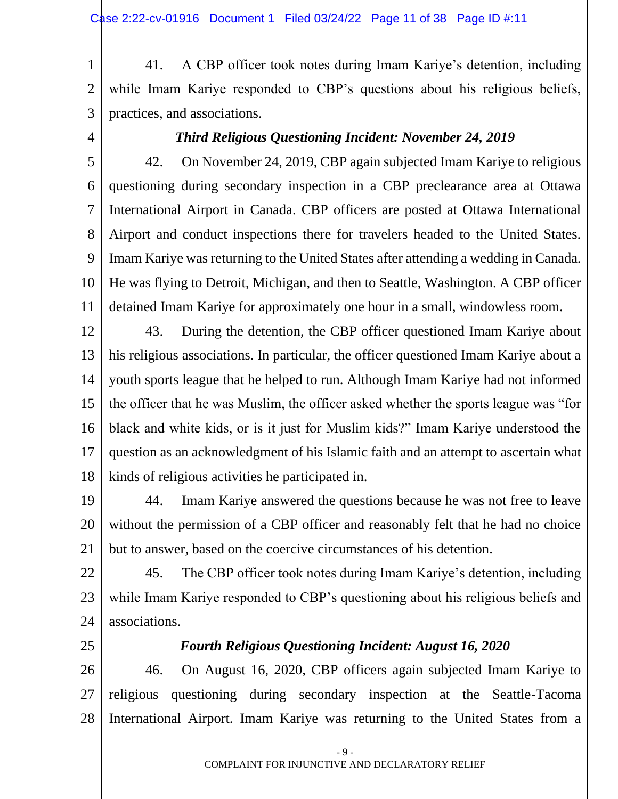1 2 3 41. A CBP officer took notes during Imam Kariye's detention, including while Imam Kariye responded to CBP's questions about his religious beliefs, practices, and associations.

4

#### *Third Religious Questioning Incident: November 24, 2019*

5 6 7 8 9 10 11 42. On November 24, 2019, CBP again subjected Imam Kariye to religious questioning during secondary inspection in a CBP preclearance area at Ottawa International Airport in Canada. CBP officers are posted at Ottawa International Airport and conduct inspections there for travelers headed to the United States. Imam Kariye was returning to the United States after attending a wedding in Canada. He was flying to Detroit, Michigan, and then to Seattle, Washington. A CBP officer detained Imam Kariye for approximately one hour in a small, windowless room.

12 13 14 15 16 17 18 43. During the detention, the CBP officer questioned Imam Kariye about his religious associations. In particular, the officer questioned Imam Kariye about a youth sports league that he helped to run. Although Imam Kariye had not informed the officer that he was Muslim, the officer asked whether the sports league was "for black and white kids, or is it just for Muslim kids?" Imam Kariye understood the question as an acknowledgment of his Islamic faith and an attempt to ascertain what kinds of religious activities he participated in.

19 20 21 44. Imam Kariye answered the questions because he was not free to leave without the permission of a CBP officer and reasonably felt that he had no choice but to answer, based on the coercive circumstances of his detention.

22 23 24 45. The CBP officer took notes during Imam Kariye's detention, including while Imam Kariye responded to CBP's questioning about his religious beliefs and associations.

25

#### *Fourth Religious Questioning Incident: August 16, 2020*

26 27 28 46. On August 16, 2020, CBP officers again subjected Imam Kariye to religious questioning during secondary inspection at the Seattle-Tacoma International Airport. Imam Kariye was returning to the United States from a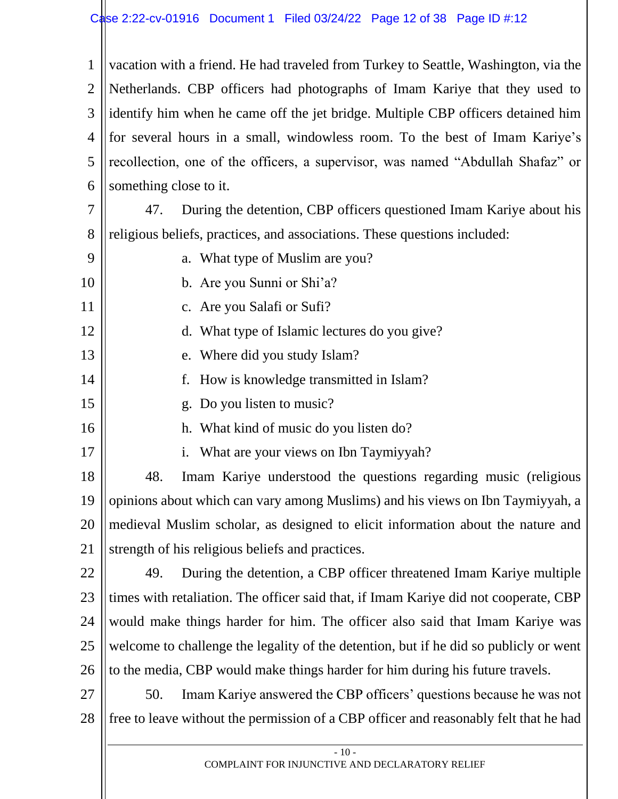1 2 3 4 5 6 vacation with a friend. He had traveled from Turkey to Seattle, Washington, via the Netherlands. CBP officers had photographs of Imam Kariye that they used to identify him when he came off the jet bridge. Multiple CBP officers detained him for several hours in a small, windowless room. To the best of Imam Kariye's recollection, one of the officers, a supervisor, was named "Abdullah Shafaz" or something close to it.

7 8 47. During the detention, CBP officers questioned Imam Kariye about his religious beliefs, practices, and associations. These questions included:

- 9 10 a. What type of Muslim are you?
	- b. Are you Sunni or Shi'a?
- 11 c. Are you Salafi or Sufi?
	- d. What type of Islamic lectures do you give?
- 13 e. Where did you study Islam?
	- f. How is knowledge transmitted in Islam?
- 15 g. Do you listen to music?
	- h. What kind of music do you listen do?
		- i. What are your views on Ibn Taymiyyah?

18 19 20 21 48. Imam Kariye understood the questions regarding music (religious opinions about which can vary among Muslims) and his views on Ibn Taymiyyah, a medieval Muslim scholar, as designed to elicit information about the nature and strength of his religious beliefs and practices.

22

12

14

16

17

23 24 25 26 49. During the detention, a CBP officer threatened Imam Kariye multiple times with retaliation. The officer said that, if Imam Kariye did not cooperate, CBP would make things harder for him. The officer also said that Imam Kariye was welcome to challenge the legality of the detention, but if he did so publicly or went to the media, CBP would make things harder for him during his future travels.

27

28 50. Imam Kariye answered the CBP officers' questions because he was not free to leave without the permission of a CBP officer and reasonably felt that he had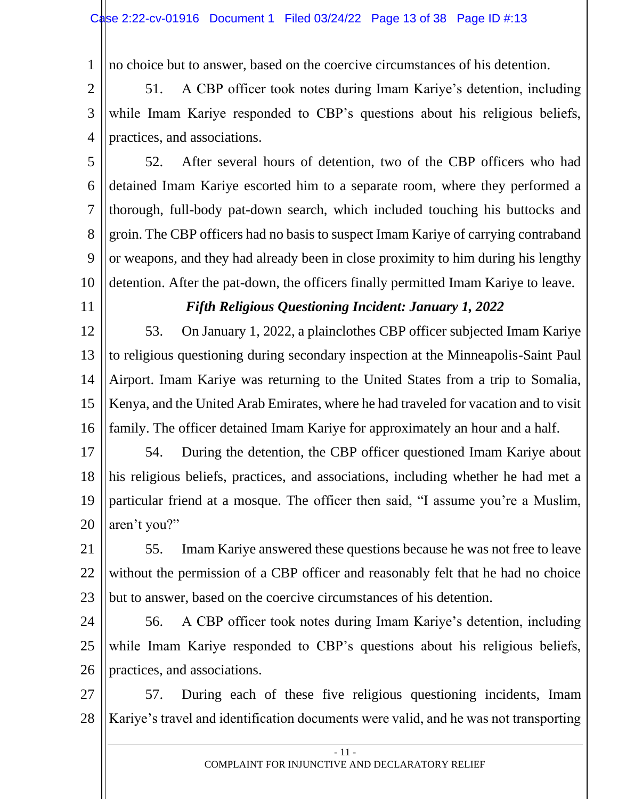1 no choice but to answer, based on the coercive circumstances of his detention.

2 3 4 51. A CBP officer took notes during Imam Kariye's detention, including while Imam Kariye responded to CBP's questions about his religious beliefs, practices, and associations.

5 6 7 8 9 10 52. After several hours of detention, two of the CBP officers who had detained Imam Kariye escorted him to a separate room, where they performed a thorough, full-body pat-down search, which included touching his buttocks and groin. The CBP officers had no basis to suspect Imam Kariye of carrying contraband or weapons, and they had already been in close proximity to him during his lengthy detention. After the pat-down, the officers finally permitted Imam Kariye to leave.

11

## *Fifth Religious Questioning Incident: January 1, 2022*

12 13 14 15 16 53. On January 1, 2022, a plainclothes CBP officer subjected Imam Kariye to religious questioning during secondary inspection at the Minneapolis-Saint Paul Airport. Imam Kariye was returning to the United States from a trip to Somalia, Kenya, and the United Arab Emirates, where he had traveled for vacation and to visit family. The officer detained Imam Kariye for approximately an hour and a half.

17 18 19 20 54. During the detention, the CBP officer questioned Imam Kariye about his religious beliefs, practices, and associations, including whether he had met a particular friend at a mosque. The officer then said, "I assume you're a Muslim, aren't you?"

21 22 23 55. Imam Kariye answered these questions because he was not free to leave without the permission of a CBP officer and reasonably felt that he had no choice but to answer, based on the coercive circumstances of his detention.

24 25 26 56. A CBP officer took notes during Imam Kariye's detention, including while Imam Kariye responded to CBP's questions about his religious beliefs, practices, and associations.

27 28 57. During each of these five religious questioning incidents, Imam Kariye's travel and identification documents were valid, and he was not transporting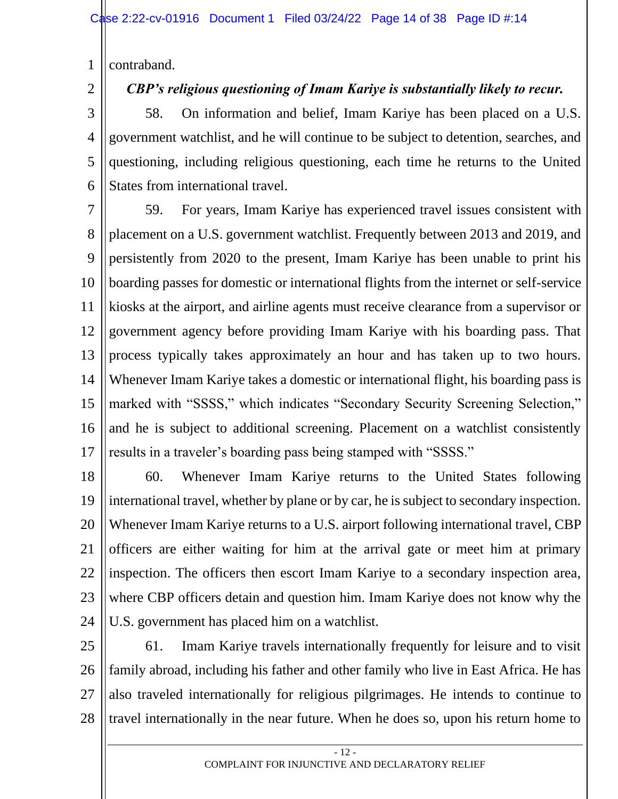1 contraband.

2

# *CBP's religious questioning of Imam Kariye is substantially likely to recur.*

3 4 5 6 58. On information and belief, Imam Kariye has been placed on a U.S. government watchlist, and he will continue to be subject to detention, searches, and questioning, including religious questioning, each time he returns to the United States from international travel.

7 8 9 10 11 12 13 14 15 16 17 59. For years, Imam Kariye has experienced travel issues consistent with placement on a U.S. government watchlist. Frequently between 2013 and 2019, and persistently from 2020 to the present, Imam Kariye has been unable to print his boarding passes for domestic or international flights from the internet or self-service kiosks at the airport, and airline agents must receive clearance from a supervisor or government agency before providing Imam Kariye with his boarding pass. That process typically takes approximately an hour and has taken up to two hours. Whenever Imam Kariye takes a domestic or international flight, his boarding pass is marked with "SSSS," which indicates "Secondary Security Screening Selection," and he is subject to additional screening. Placement on a watchlist consistently results in a traveler's boarding pass being stamped with "SSSS."

18 19 20 21 22 23 24 60. Whenever Imam Kariye returns to the United States following international travel, whether by plane or by car, he is subject to secondary inspection. Whenever Imam Kariye returns to a U.S. airport following international travel, CBP officers are either waiting for him at the arrival gate or meet him at primary inspection. The officers then escort Imam Kariye to a secondary inspection area, where CBP officers detain and question him. Imam Kariye does not know why the U.S. government has placed him on a watchlist.

25 26 27 28 61. Imam Kariye travels internationally frequently for leisure and to visit family abroad, including his father and other family who live in East Africa. He has also traveled internationally for religious pilgrimages. He intends to continue to travel internationally in the near future. When he does so, upon his return home to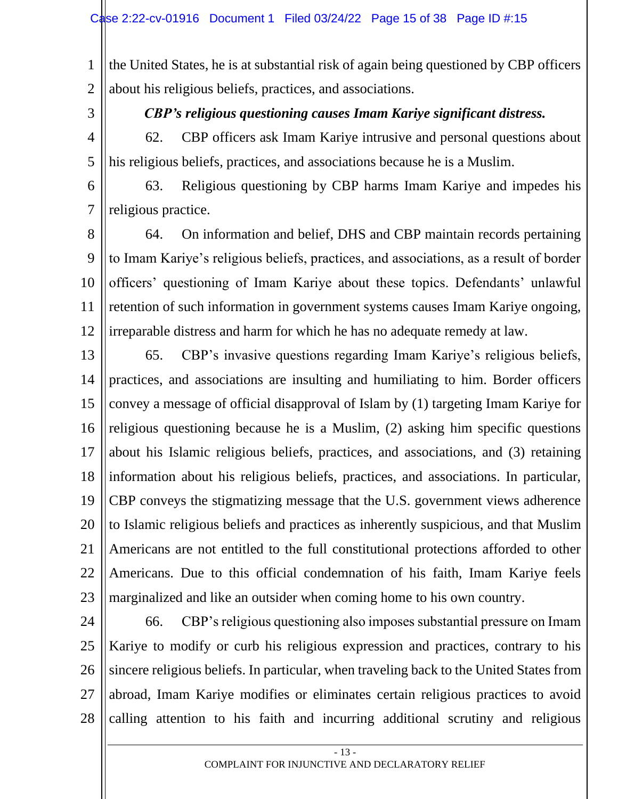1 2 the United States, he is at substantial risk of again being questioned by CBP officers about his religious beliefs, practices, and associations.

3

*CBP's religious questioning causes Imam Kariye significant distress.*

4 5 62. CBP officers ask Imam Kariye intrusive and personal questions about his religious beliefs, practices, and associations because he is a Muslim.

6 7 63. Religious questioning by CBP harms Imam Kariye and impedes his religious practice.

8 9 10 11 12 64. On information and belief, DHS and CBP maintain records pertaining to Imam Kariye's religious beliefs, practices, and associations, as a result of border officers' questioning of Imam Kariye about these topics. Defendants' unlawful retention of such information in government systems causes Imam Kariye ongoing, irreparable distress and harm for which he has no adequate remedy at law.

13 14 15 16 17 18 19 20 21 22 23 65. CBP's invasive questions regarding Imam Kariye's religious beliefs, practices, and associations are insulting and humiliating to him. Border officers convey a message of official disapproval of Islam by (1) targeting Imam Kariye for religious questioning because he is a Muslim, (2) asking him specific questions about his Islamic religious beliefs, practices, and associations, and (3) retaining information about his religious beliefs, practices, and associations. In particular, CBP conveys the stigmatizing message that the U.S. government views adherence to Islamic religious beliefs and practices as inherently suspicious, and that Muslim Americans are not entitled to the full constitutional protections afforded to other Americans. Due to this official condemnation of his faith, Imam Kariye feels marginalized and like an outsider when coming home to his own country.

24

25 26 27 28 66. CBP's religious questioning also imposes substantial pressure on Imam Kariye to modify or curb his religious expression and practices, contrary to his sincere religious beliefs. In particular, when traveling back to the United States from abroad, Imam Kariye modifies or eliminates certain religious practices to avoid calling attention to his faith and incurring additional scrutiny and religious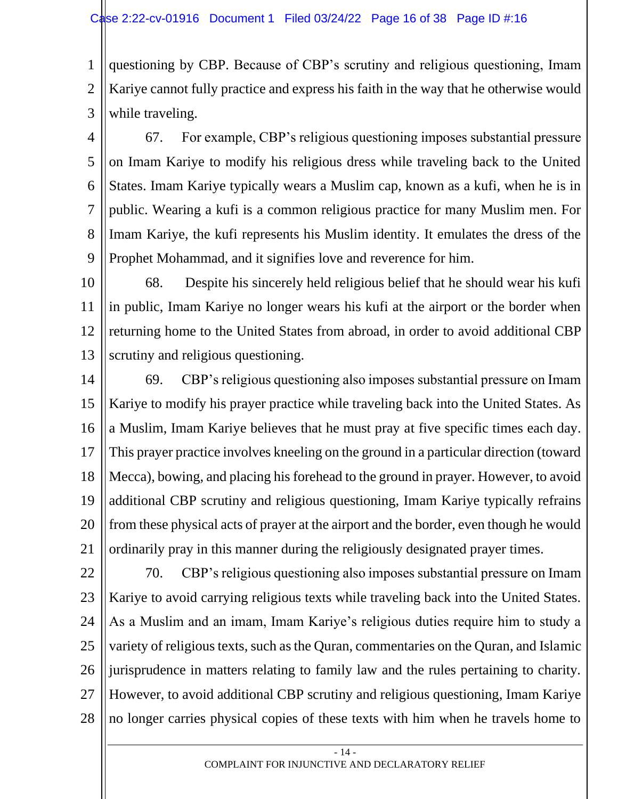1 2 3 questioning by CBP. Because of CBP's scrutiny and religious questioning, Imam Kariye cannot fully practice and express his faith in the way that he otherwise would while traveling.

4 5 6 7 8 9 67. For example, CBP's religious questioning imposes substantial pressure on Imam Kariye to modify his religious dress while traveling back to the United States. Imam Kariye typically wears a Muslim cap, known as a kufi, when he is in public. Wearing a kufi is a common religious practice for many Muslim men. For Imam Kariye, the kufi represents his Muslim identity. It emulates the dress of the Prophet Mohammad, and it signifies love and reverence for him.

10 11 12 13 68. Despite his sincerely held religious belief that he should wear his kufi in public, Imam Kariye no longer wears his kufi at the airport or the border when returning home to the United States from abroad, in order to avoid additional CBP scrutiny and religious questioning.

14 15 16 17 18 19 20 21 69. CBP's religious questioning also imposes substantial pressure on Imam Kariye to modify his prayer practice while traveling back into the United States. As a Muslim, Imam Kariye believes that he must pray at five specific times each day. This prayer practice involves kneeling on the ground in a particular direction (toward Mecca), bowing, and placing his forehead to the ground in prayer. However, to avoid additional CBP scrutiny and religious questioning, Imam Kariye typically refrains from these physical acts of prayer at the airport and the border, even though he would ordinarily pray in this manner during the religiously designated prayer times.

22 23 24 25 26 27 28 70. CBP's religious questioning also imposes substantial pressure on Imam Kariye to avoid carrying religious texts while traveling back into the United States. As a Muslim and an imam, Imam Kariye's religious duties require him to study a variety of religious texts, such as the Quran, commentaries on the Quran, and Islamic jurisprudence in matters relating to family law and the rules pertaining to charity. However, to avoid additional CBP scrutiny and religious questioning, Imam Kariye no longer carries physical copies of these texts with him when he travels home to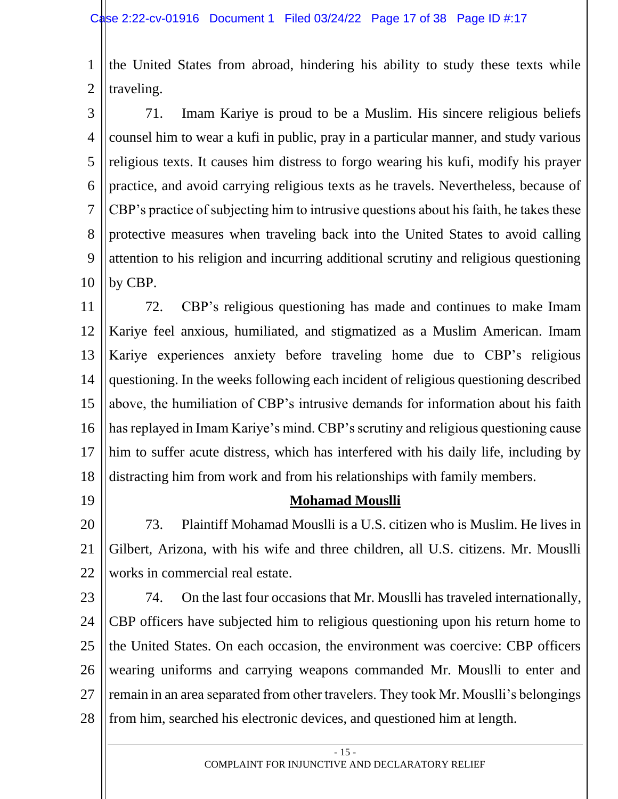1 2 the United States from abroad, hindering his ability to study these texts while traveling.

3 4 5 6 7 8 9 10 71. Imam Kariye is proud to be a Muslim. His sincere religious beliefs counsel him to wear a kufi in public, pray in a particular manner, and study various religious texts. It causes him distress to forgo wearing his kufi, modify his prayer practice, and avoid carrying religious texts as he travels. Nevertheless, because of CBP's practice of subjecting him to intrusive questions about his faith, he takes these protective measures when traveling back into the United States to avoid calling attention to his religion and incurring additional scrutiny and religious questioning by CBP.

11 12 13 14 15 16 17 18 72. CBP's religious questioning has made and continues to make Imam Kariye feel anxious, humiliated, and stigmatized as a Muslim American. Imam Kariye experiences anxiety before traveling home due to CBP's religious questioning. In the weeks following each incident of religious questioning described above, the humiliation of CBP's intrusive demands for information about his faith has replayed in Imam Kariye's mind. CBP's scrutiny and religious questioning cause him to suffer acute distress, which has interfered with his daily life, including by distracting him from work and from his relationships with family members.

19

#### **Mohamad Mouslli**

20 21 22 73. Plaintiff Mohamad Mouslli is a U.S. citizen who is Muslim. He lives in Gilbert, Arizona, with his wife and three children, all U.S. citizens. Mr. Mouslli works in commercial real estate.

23

24 25 26 27 28 74. On the last four occasions that Mr. Mouslli has traveled internationally, CBP officers have subjected him to religious questioning upon his return home to the United States. On each occasion, the environment was coercive: CBP officers wearing uniforms and carrying weapons commanded Mr. Mouslli to enter and remain in an area separated from other travelers. They took Mr. Mouslli's belongings from him, searched his electronic devices, and questioned him at length.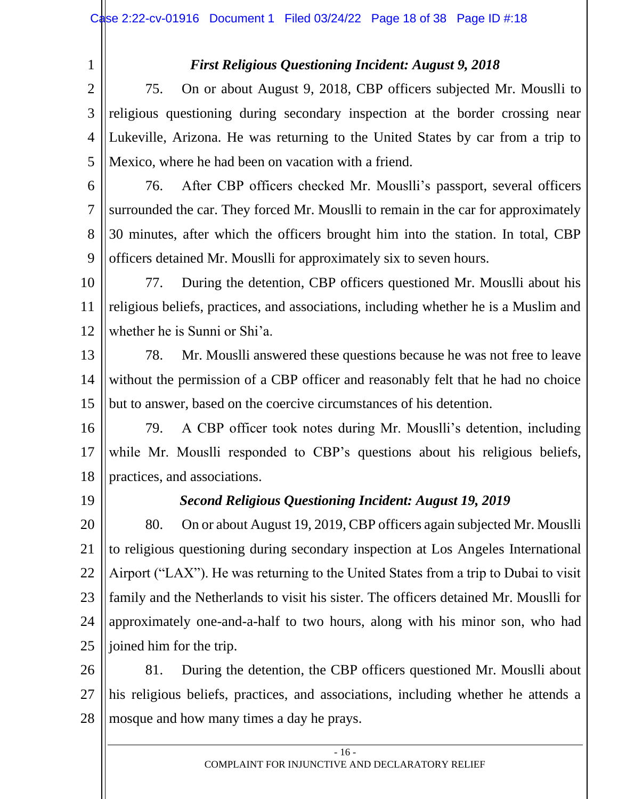1

## *First Religious Questioning Incident: August 9, 2018*

2 3 4 5 75. On or about August 9, 2018, CBP officers subjected Mr. Mouslli to religious questioning during secondary inspection at the border crossing near Lukeville, Arizona. He was returning to the United States by car from a trip to Mexico, where he had been on vacation with a friend.

- 6 7 8 9 76. After CBP officers checked Mr. Mouslli's passport, several officers surrounded the car. They forced Mr. Mouslli to remain in the car for approximately 30 minutes, after which the officers brought him into the station. In total, CBP officers detained Mr. Mouslli for approximately six to seven hours.
- 10 11 12 77. During the detention, CBP officers questioned Mr. Mouslli about his religious beliefs, practices, and associations, including whether he is a Muslim and whether he is Sunni or Shi'a.
- 13 14 15 78. Mr. Mouslli answered these questions because he was not free to leave without the permission of a CBP officer and reasonably felt that he had no choice but to answer, based on the coercive circumstances of his detention.
- 16 17 18 79. A CBP officer took notes during Mr. Mouslli's detention, including while Mr. Mouslli responded to CBP's questions about his religious beliefs, practices, and associations.
- 19

# *Second Religious Questioning Incident: August 19, 2019*

20 21 22 23 24 25 80. On or about August 19, 2019, CBP officers again subjected Mr. Mouslli to religious questioning during secondary inspection at Los Angeles International Airport ("LAX"). He was returning to the United States from a trip to Dubai to visit family and the Netherlands to visit his sister. The officers detained Mr. Mouslli for approximately one-and-a-half to two hours, along with his minor son, who had joined him for the trip.

26 27 28 81. During the detention, the CBP officers questioned Mr. Mouslli about his religious beliefs, practices, and associations, including whether he attends a mosque and how many times a day he prays.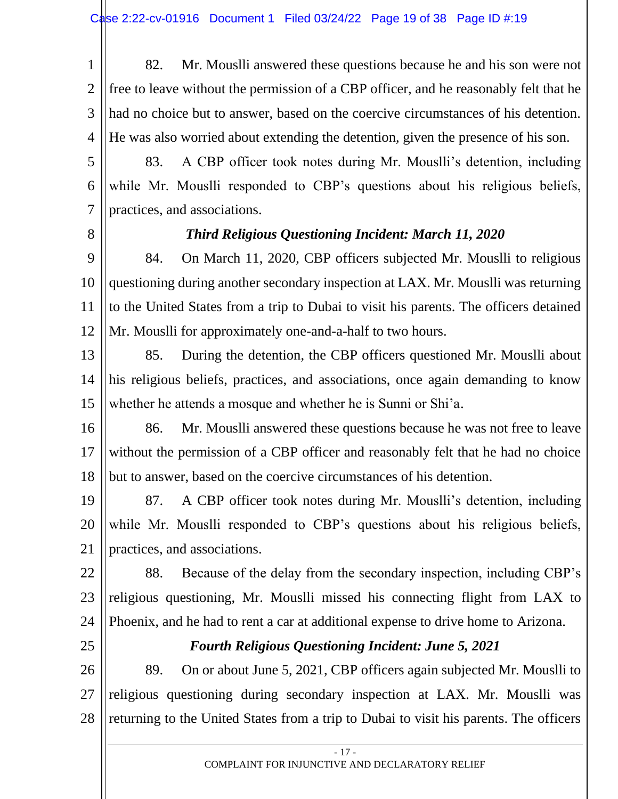1 2 3 4 82. Mr. Mouslli answered these questions because he and his son were not free to leave without the permission of a CBP officer, and he reasonably felt that he had no choice but to answer, based on the coercive circumstances of his detention. He was also worried about extending the detention, given the presence of his son.

- 5 6 7 83. A CBP officer took notes during Mr. Mouslli's detention, including while Mr. Mouslli responded to CBP's questions about his religious beliefs, practices, and associations.
- 8

#### *Third Religious Questioning Incident: March 11, 2020*

9 10 11 12 84. On March 11, 2020, CBP officers subjected Mr. Mouslli to religious questioning during another secondary inspection at LAX. Mr. Mouslli was returning to the United States from a trip to Dubai to visit his parents. The officers detained Mr. Mouslli for approximately one-and-a-half to two hours.

13 14 15 85. During the detention, the CBP officers questioned Mr. Mouslli about his religious beliefs, practices, and associations, once again demanding to know whether he attends a mosque and whether he is Sunni or Shi'a.

16 17 18 86. Mr. Mouslli answered these questions because he was not free to leave without the permission of a CBP officer and reasonably felt that he had no choice but to answer, based on the coercive circumstances of his detention.

19 20 21 87. A CBP officer took notes during Mr. Mouslli's detention, including while Mr. Mouslli responded to CBP's questions about his religious beliefs, practices, and associations.

22 23 24 88. Because of the delay from the secondary inspection, including CBP's religious questioning, Mr. Mouslli missed his connecting flight from LAX to Phoenix, and he had to rent a car at additional expense to drive home to Arizona.

25

#### *Fourth Religious Questioning Incident: June 5, 2021*

26 27 28 89. On or about June 5, 2021, CBP officers again subjected Mr. Mouslli to religious questioning during secondary inspection at LAX. Mr. Mouslli was returning to the United States from a trip to Dubai to visit his parents. The officers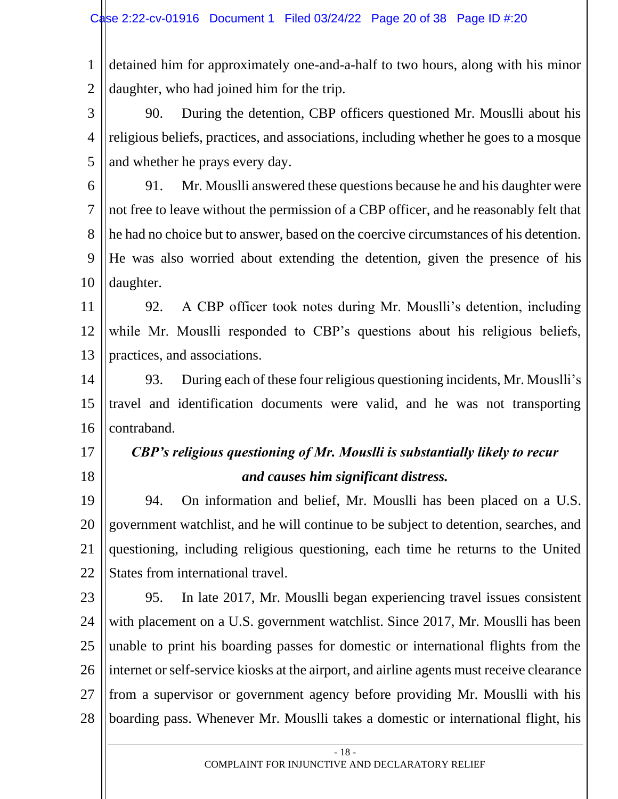1 2 detained him for approximately one-and-a-half to two hours, along with his minor daughter, who had joined him for the trip.

3 4 5 90. During the detention, CBP officers questioned Mr. Mouslli about his religious beliefs, practices, and associations, including whether he goes to a mosque and whether he prays every day.

6 7 8 9 10 91. Mr. Mouslli answered these questions because he and his daughter were not free to leave without the permission of a CBP officer, and he reasonably felt that he had no choice but to answer, based on the coercive circumstances of his detention. He was also worried about extending the detention, given the presence of his daughter.

11 12 13 92. A CBP officer took notes during Mr. Mouslli's detention, including while Mr. Mouslli responded to CBP's questions about his religious beliefs, practices, and associations.

14 15 16 93. During each of these four religious questioning incidents, Mr. Mouslli's travel and identification documents were valid, and he was not transporting contraband.

17

18

# *CBP's religious questioning of Mr. Mouslli is substantially likely to recur and causes him significant distress.*

19 20 21 22 94. On information and belief, Mr. Mouslli has been placed on a U.S. government watchlist, and he will continue to be subject to detention, searches, and questioning, including religious questioning, each time he returns to the United States from international travel.

23 24 25 26 27 28 95. In late 2017, Mr. Mouslli began experiencing travel issues consistent with placement on a U.S. government watchlist. Since 2017, Mr. Mouslli has been unable to print his boarding passes for domestic or international flights from the internet or self-service kiosks at the airport, and airline agents must receive clearance from a supervisor or government agency before providing Mr. Mouslli with his boarding pass. Whenever Mr. Mouslli takes a domestic or international flight, his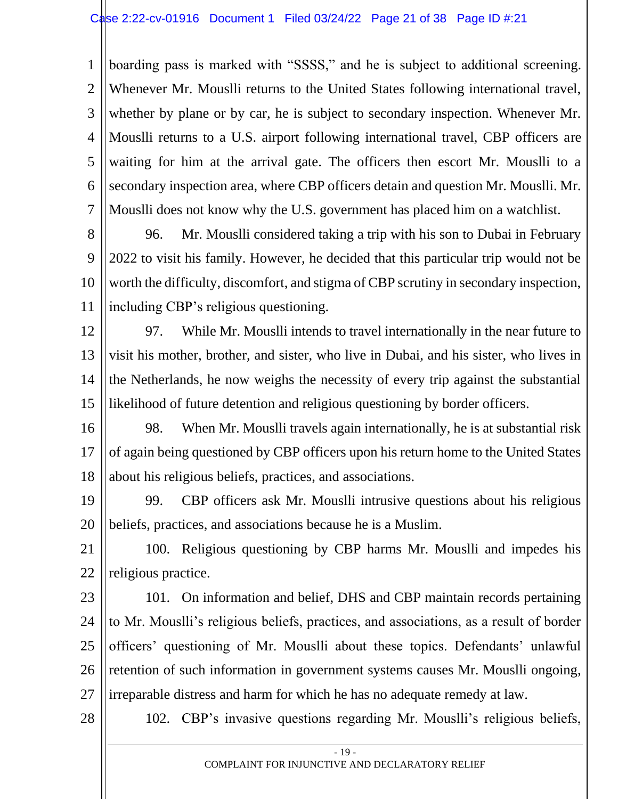1 2 3 4 5 6 7 boarding pass is marked with "SSSS," and he is subject to additional screening. Whenever Mr. Mouslli returns to the United States following international travel, whether by plane or by car, he is subject to secondary inspection. Whenever Mr. Mouslli returns to a U.S. airport following international travel, CBP officers are waiting for him at the arrival gate. The officers then escort Mr. Mouslli to a secondary inspection area, where CBP officers detain and question Mr. Mouslli. Mr. Mouslli does not know why the U.S. government has placed him on a watchlist.

8 9 10 11 96. Mr. Mouslli considered taking a trip with his son to Dubai in February 2022 to visit his family. However, he decided that this particular trip would not be worth the difficulty, discomfort, and stigma of CBP scrutiny in secondary inspection, including CBP's religious questioning.

12 13 14 15 97. While Mr. Mouslli intends to travel internationally in the near future to visit his mother, brother, and sister, who live in Dubai, and his sister, who lives in the Netherlands, he now weighs the necessity of every trip against the substantial likelihood of future detention and religious questioning by border officers.

16 17 18 98. When Mr. Mouslli travels again internationally, he is at substantial risk of again being questioned by CBP officers upon his return home to the United States about his religious beliefs, practices, and associations.

19 20 99. CBP officers ask Mr. Mouslli intrusive questions about his religious beliefs, practices, and associations because he is a Muslim.

21 22 100. Religious questioning by CBP harms Mr. Mouslli and impedes his religious practice.

23 24 25 26 27 101. On information and belief, DHS and CBP maintain records pertaining to Mr. Mouslli's religious beliefs, practices, and associations, as a result of border officers' questioning of Mr. Mouslli about these topics. Defendants' unlawful retention of such information in government systems causes Mr. Mouslli ongoing, irreparable distress and harm for which he has no adequate remedy at law.

28

102. CBP's invasive questions regarding Mr. Mouslli's religious beliefs,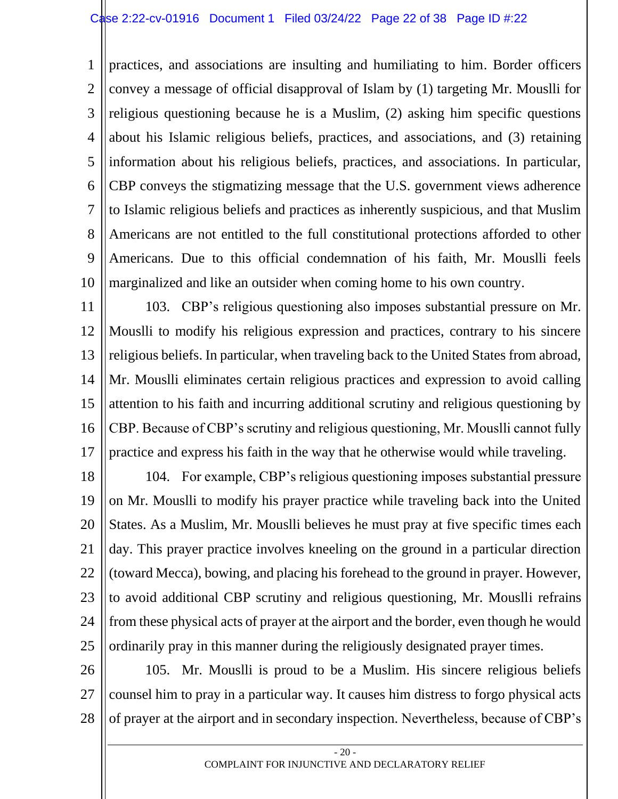1 2 3 4 5 6 7 8 9 10 practices, and associations are insulting and humiliating to him. Border officers convey a message of official disapproval of Islam by (1) targeting Mr. Mouslli for religious questioning because he is a Muslim, (2) asking him specific questions about his Islamic religious beliefs, practices, and associations, and (3) retaining information about his religious beliefs, practices, and associations. In particular, CBP conveys the stigmatizing message that the U.S. government views adherence to Islamic religious beliefs and practices as inherently suspicious, and that Muslim Americans are not entitled to the full constitutional protections afforded to other Americans. Due to this official condemnation of his faith, Mr. Mouslli feels marginalized and like an outsider when coming home to his own country.

11 12 13 14 15 16 17 103. CBP's religious questioning also imposes substantial pressure on Mr. Mouslli to modify his religious expression and practices, contrary to his sincere religious beliefs. In particular, when traveling back to the United States from abroad, Mr. Mouslli eliminates certain religious practices and expression to avoid calling attention to his faith and incurring additional scrutiny and religious questioning by CBP. Because of CBP's scrutiny and religious questioning, Mr. Mouslli cannot fully practice and express his faith in the way that he otherwise would while traveling.

18 19 20 21 22 23 24 25 104. For example, CBP's religious questioning imposes substantial pressure on Mr. Mouslli to modify his prayer practice while traveling back into the United States. As a Muslim, Mr. Mouslli believes he must pray at five specific times each day. This prayer practice involves kneeling on the ground in a particular direction (toward Mecca), bowing, and placing his forehead to the ground in prayer. However, to avoid additional CBP scrutiny and religious questioning, Mr. Mouslli refrains from these physical acts of prayer at the airport and the border, even though he would ordinarily pray in this manner during the religiously designated prayer times.

26 27 28 105. Mr. Mouslli is proud to be a Muslim. His sincere religious beliefs counsel him to pray in a particular way. It causes him distress to forgo physical acts of prayer at the airport and in secondary inspection. Nevertheless, because of CBP's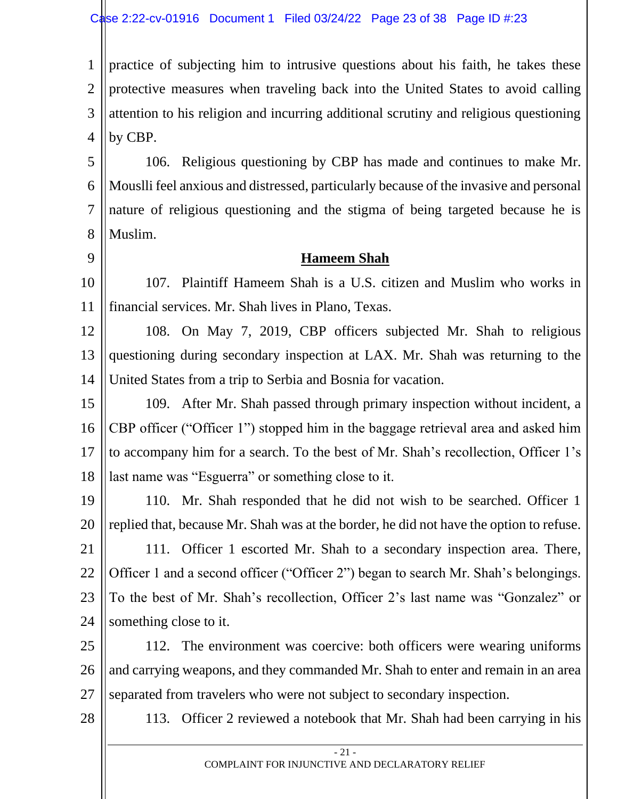1 2 3 4 practice of subjecting him to intrusive questions about his faith, he takes these protective measures when traveling back into the United States to avoid calling attention to his religion and incurring additional scrutiny and religious questioning by CBP.

5 6 7 8 106. Religious questioning by CBP has made and continues to make Mr. Mouslli feel anxious and distressed, particularly because of the invasive and personal nature of religious questioning and the stigma of being targeted because he is Muslim.

9

#### **Hameem Shah**

10 11 107. Plaintiff Hameem Shah is a U.S. citizen and Muslim who works in financial services. Mr. Shah lives in Plano, Texas.

12 13 14 108. On May 7, 2019, CBP officers subjected Mr. Shah to religious questioning during secondary inspection at LAX. Mr. Shah was returning to the United States from a trip to Serbia and Bosnia for vacation.

15 16 17 18 109. After Mr. Shah passed through primary inspection without incident, a CBP officer ("Officer 1") stopped him in the baggage retrieval area and asked him to accompany him for a search. To the best of Mr. Shah's recollection, Officer 1's last name was "Esguerra" or something close to it.

19 20 21 22 23 24 110. Mr. Shah responded that he did not wish to be searched. Officer 1 replied that, because Mr. Shah was at the border, he did not have the option to refuse. 111. Officer 1 escorted Mr. Shah to a secondary inspection area. There, Officer 1 and a second officer ("Officer 2") began to search Mr. Shah's belongings. To the best of Mr. Shah's recollection, Officer 2's last name was "Gonzalez" or something close to it.

25 26 27 112. The environment was coercive: both officers were wearing uniforms and carrying weapons, and they commanded Mr. Shah to enter and remain in an area separated from travelers who were not subject to secondary inspection.

28

113. Officer 2 reviewed a notebook that Mr. Shah had been carrying in his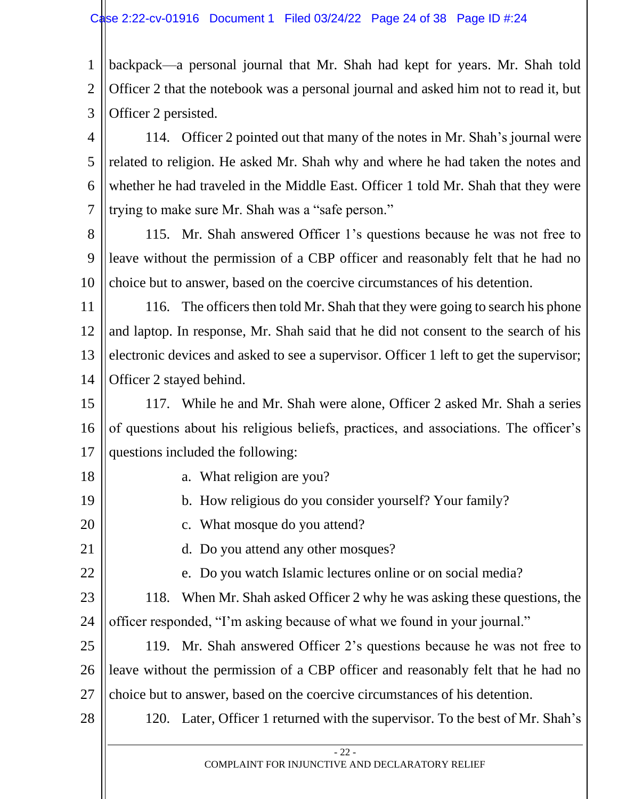1 2 3 backpack—a personal journal that Mr. Shah had kept for years. Mr. Shah told Officer 2 that the notebook was a personal journal and asked him not to read it, but Officer 2 persisted.

4 5 6 7 114. Officer 2 pointed out that many of the notes in Mr. Shah's journal were related to religion. He asked Mr. Shah why and where he had taken the notes and whether he had traveled in the Middle East. Officer 1 told Mr. Shah that they were trying to make sure Mr. Shah was a "safe person."

8 9 10 115. Mr. Shah answered Officer 1's questions because he was not free to leave without the permission of a CBP officer and reasonably felt that he had no choice but to answer, based on the coercive circumstances of his detention.

11 12 13 14 116. The officers then told Mr. Shah that they were going to search his phone and laptop. In response, Mr. Shah said that he did not consent to the search of his electronic devices and asked to see a supervisor. Officer 1 left to get the supervisor; Officer 2 stayed behind.

15 16 17 117. While he and Mr. Shah were alone, Officer 2 asked Mr. Shah a series of questions about his religious beliefs, practices, and associations. The officer's questions included the following:

- a. What religion are you?
	- b. How religious do you consider yourself? Your family?
	- c. What mosque do you attend?
		- d. Do you attend any other mosques?
		- e. Do you watch Islamic lectures online or on social media?
- 23 24 118. When Mr. Shah asked Officer 2 why he was asking these questions, the officer responded, "I'm asking because of what we found in your journal."

25 26 27 119. Mr. Shah answered Officer 2's questions because he was not free to leave without the permission of a CBP officer and reasonably felt that he had no choice but to answer, based on the coercive circumstances of his detention.

28

18

19

20

21

22

120. Later, Officer 1 returned with the supervisor. To the best of Mr. Shah's

COMPLAINT FOR INJUNCTIVE AND DECLARATORY RELIEF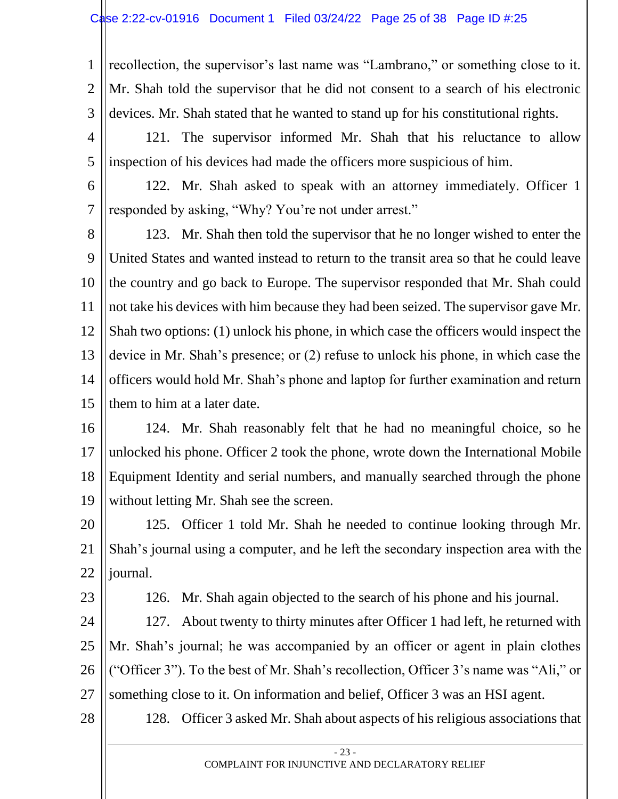1 2 3 recollection, the supervisor's last name was "Lambrano," or something close to it. Mr. Shah told the supervisor that he did not consent to a search of his electronic devices. Mr. Shah stated that he wanted to stand up for his constitutional rights.

- 4 5 121. The supervisor informed Mr. Shah that his reluctance to allow inspection of his devices had made the officers more suspicious of him.
- 6

7

122. Mr. Shah asked to speak with an attorney immediately. Officer 1 responded by asking, "Why? You're not under arrest."

8 9 10 11 12 13 14 15 123. Mr. Shah then told the supervisor that he no longer wished to enter the United States and wanted instead to return to the transit area so that he could leave the country and go back to Europe. The supervisor responded that Mr. Shah could not take his devices with him because they had been seized. The supervisor gave Mr. Shah two options: (1) unlock his phone, in which case the officers would inspect the device in Mr. Shah's presence; or (2) refuse to unlock his phone, in which case the officers would hold Mr. Shah's phone and laptop for further examination and return them to him at a later date.

16 17 18 19 124. Mr. Shah reasonably felt that he had no meaningful choice, so he unlocked his phone. Officer 2 took the phone, wrote down the International Mobile Equipment Identity and serial numbers, and manually searched through the phone without letting Mr. Shah see the screen.

20 21 22 125. Officer 1 told Mr. Shah he needed to continue looking through Mr. Shah's journal using a computer, and he left the secondary inspection area with the journal.

23

126. Mr. Shah again objected to the search of his phone and his journal.

24 25 26 27 127. About twenty to thirty minutes after Officer 1 had left, he returned with Mr. Shah's journal; he was accompanied by an officer or agent in plain clothes ("Officer 3"). To the best of Mr. Shah's recollection, Officer 3's name was "Ali," or something close to it. On information and belief, Officer 3 was an HSI agent.

28

128. Officer 3 asked Mr. Shah about aspects of his religious associations that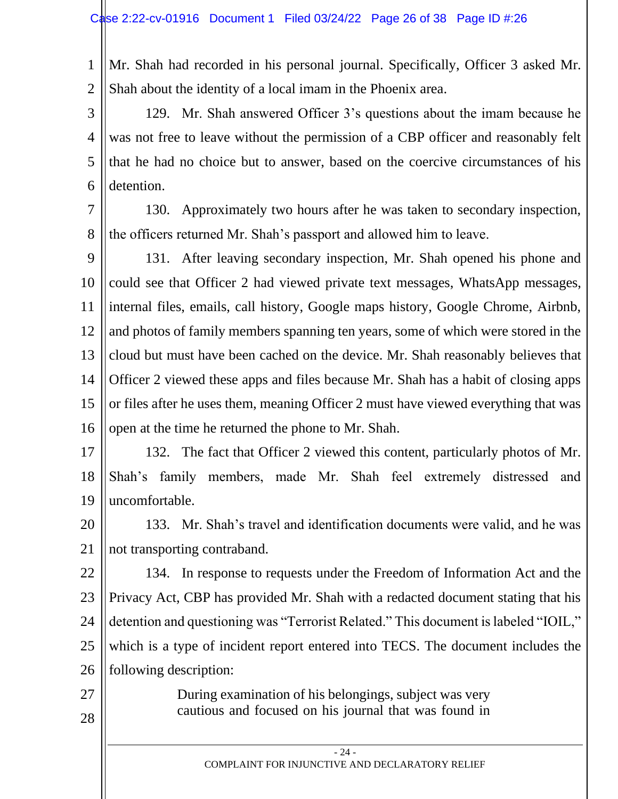1 2 Mr. Shah had recorded in his personal journal. Specifically, Officer 3 asked Mr. Shah about the identity of a local imam in the Phoenix area.

3 4 5 6 129. Mr. Shah answered Officer 3's questions about the imam because he was not free to leave without the permission of a CBP officer and reasonably felt that he had no choice but to answer, based on the coercive circumstances of his detention.

7 8 130. Approximately two hours after he was taken to secondary inspection, the officers returned Mr. Shah's passport and allowed him to leave.

9 10 11 12 13 14 15 16 131. After leaving secondary inspection, Mr. Shah opened his phone and could see that Officer 2 had viewed private text messages, WhatsApp messages, internal files, emails, call history, Google maps history, Google Chrome, Airbnb, and photos of family members spanning ten years, some of which were stored in the cloud but must have been cached on the device. Mr. Shah reasonably believes that Officer 2 viewed these apps and files because Mr. Shah has a habit of closing apps or files after he uses them, meaning Officer 2 must have viewed everything that was open at the time he returned the phone to Mr. Shah.

17 18 19 132. The fact that Officer 2 viewed this content, particularly photos of Mr. Shah's family members, made Mr. Shah feel extremely distressed and uncomfortable.

20 21 133. Mr. Shah's travel and identification documents were valid, and he was not transporting contraband.

22 23 24 25 26 134. In response to requests under the Freedom of Information Act and the Privacy Act, CBP has provided Mr. Shah with a redacted document stating that his detention and questioning was "Terrorist Related." This document is labeled "IOIL," which is a type of incident report entered into TECS. The document includes the following description:

> During examination of his belongings, subject was very cautious and focused on his journal that was found in

27

28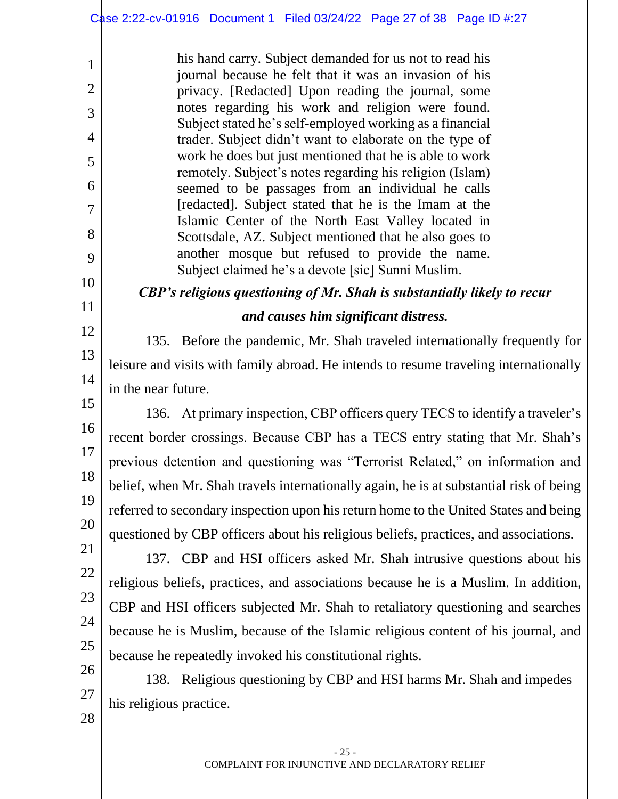1

2

3

4

5

6

7

8

9

10

11

12

13

14

15

16

17

18

19

20

21

22

23

24

25

his hand carry. Subject demanded for us not to read his journal because he felt that it was an invasion of his privacy. [Redacted] Upon reading the journal, some notes regarding his work and religion were found. Subject stated he's self-employed working as a financial trader. Subject didn't want to elaborate on the type of work he does but just mentioned that he is able to work remotely. Subject's notes regarding his religion (Islam) seemed to be passages from an individual he calls [redacted]. Subject stated that he is the Imam at the Islamic Center of the North East Valley located in Scottsdale, AZ. Subject mentioned that he also goes to another mosque but refused to provide the name. Subject claimed he's a devote [sic] Sunni Muslim.

*CBP's religious questioning of Mr. Shah is substantially likely to recur and causes him significant distress.*

135. Before the pandemic, Mr. Shah traveled internationally frequently for leisure and visits with family abroad. He intends to resume traveling internationally in the near future.

136. At primary inspection, CBP officers query TECS to identify a traveler's recent border crossings. Because CBP has a TECS entry stating that Mr. Shah's previous detention and questioning was "Terrorist Related," on information and belief, when Mr. Shah travels internationally again, he is at substantial risk of being referred to secondary inspection upon his return home to the United States and being questioned by CBP officers about his religious beliefs, practices, and associations.

137. CBP and HSI officers asked Mr. Shah intrusive questions about his religious beliefs, practices, and associations because he is a Muslim. In addition, CBP and HSI officers subjected Mr. Shah to retaliatory questioning and searches because he is Muslim, because of the Islamic religious content of his journal, and because he repeatedly invoked his constitutional rights.

26 27 28 138. Religious questioning by CBP and HSI harms Mr. Shah and impedes his religious practice.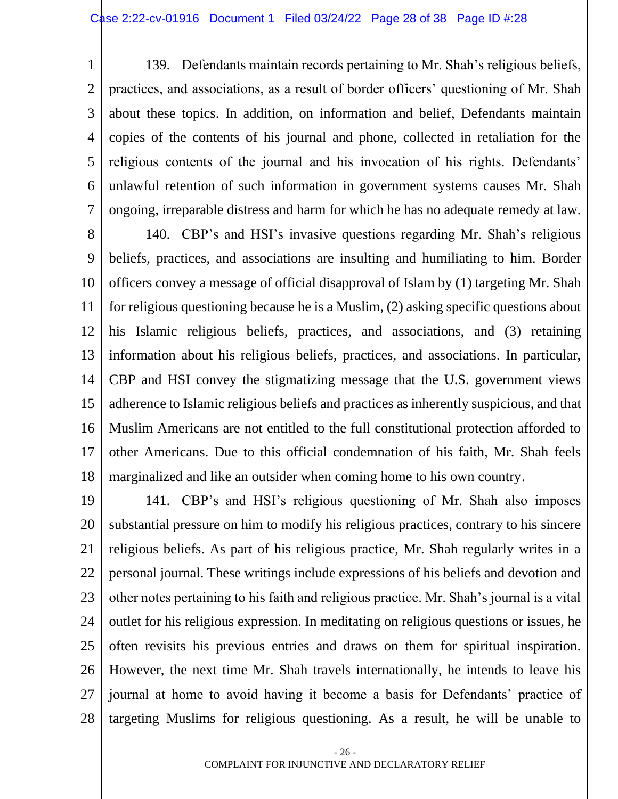1 2 3 4 5 6 7 139. Defendants maintain records pertaining to Mr. Shah's religious beliefs, practices, and associations, as a result of border officers' questioning of Mr. Shah about these topics. In addition, on information and belief, Defendants maintain copies of the contents of his journal and phone, collected in retaliation for the religious contents of the journal and his invocation of his rights. Defendants' unlawful retention of such information in government systems causes Mr. Shah ongoing, irreparable distress and harm for which he has no adequate remedy at law.

8 9 10 11 12 13 14 15 16 17 18 140. CBP's and HSI's invasive questions regarding Mr. Shah's religious beliefs, practices, and associations are insulting and humiliating to him. Border officers convey a message of official disapproval of Islam by (1) targeting Mr. Shah for religious questioning because he is a Muslim, (2) asking specific questions about his Islamic religious beliefs, practices, and associations, and (3) retaining information about his religious beliefs, practices, and associations. In particular, CBP and HSI convey the stigmatizing message that the U.S. government views adherence to Islamic religious beliefs and practices as inherently suspicious, and that Muslim Americans are not entitled to the full constitutional protection afforded to other Americans. Due to this official condemnation of his faith, Mr. Shah feels marginalized and like an outsider when coming home to his own country.

19 20 21 22 23 24 25 26 27 28 141. CBP's and HSI's religious questioning of Mr. Shah also imposes substantial pressure on him to modify his religious practices, contrary to his sincere religious beliefs. As part of his religious practice, Mr. Shah regularly writes in a personal journal. These writings include expressions of his beliefs and devotion and other notes pertaining to his faith and religious practice. Mr. Shah's journal is a vital outlet for his religious expression. In meditating on religious questions or issues, he often revisits his previous entries and draws on them for spiritual inspiration. However, the next time Mr. Shah travels internationally, he intends to leave his journal at home to avoid having it become a basis for Defendants' practice of targeting Muslims for religious questioning. As a result, he will be unable to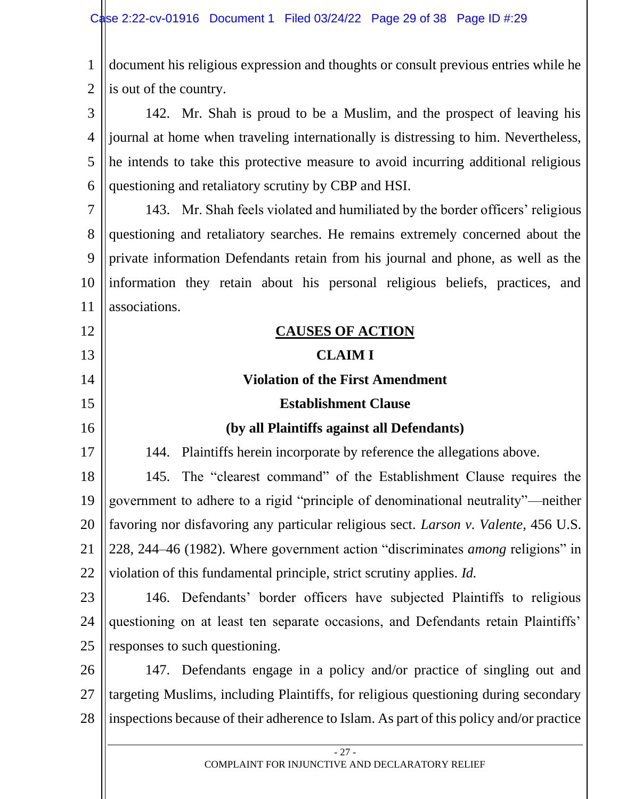1 2 document his religious expression and thoughts or consult previous entries while he is out of the country.

3 4 5 6 142. Mr. Shah is proud to be a Muslim, and the prospect of leaving his journal at home when traveling internationally is distressing to him. Nevertheless, he intends to take this protective measure to avoid incurring additional religious questioning and retaliatory scrutiny by CBP and HSI.

7 8 9 10 11 143. Mr. Shah feels violated and humiliated by the border officers' religious questioning and retaliatory searches. He remains extremely concerned about the private information Defendants retain from his journal and phone, as well as the information they retain about his personal religious beliefs, practices, and associations.

| 12 | <b>CAUSES OF ACTION</b>                                                                 |
|----|-----------------------------------------------------------------------------------------|
| 13 | <b>CLAIM I</b>                                                                          |
| 14 | <b>Violation of the First Amendment</b>                                                 |
| 15 | <b>Establishment Clause</b>                                                             |
| 16 | (by all Plaintiffs against all Defendants)                                              |
| 17 | Plaintiffs herein incorporate by reference the allegations above.<br>144.               |
| 18 | The "clearest command" of the Establishment Clause requires the<br>145.                 |
| 19 | government to adhere to a rigid "principle of denominational neutrality"—neither        |
| 20 | favoring nor disfavoring any particular religious sect. Larson v. Valente, 456 U.S.     |
| 21 | 228, 244-46 (1982). Where government action "discriminates among religions" in          |
| 22 | violation of this fundamental principle, strict scrutiny applies. <i>Id.</i>            |
| 23 | 146. Defendants' border officers have subjected Plaintiffs to religious                 |
| 24 | questioning on at least ten separate occasions, and Defendants retain Plaintiffs'       |
| 25 | responses to such questioning.                                                          |
| 26 | 147. Defendants engage in a policy and/or practice of singling out and                  |
| 27 | targeting Muslims, including Plaintiffs, for religious questioning during secondary     |
| 28 | inspections because of their adherence to Islam. As part of this policy and/or practice |
|    | $-27-$                                                                                  |
|    | COMPLAINT FOR INJUNCTIVE AND DECLARATORY RELIEF                                         |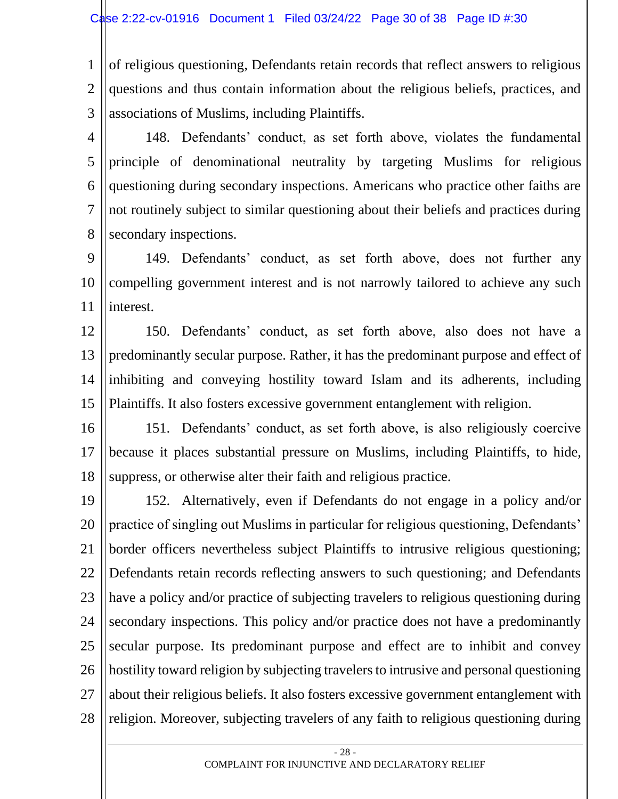1 2 3 of religious questioning, Defendants retain records that reflect answers to religious questions and thus contain information about the religious beliefs, practices, and associations of Muslims, including Plaintiffs.

4 5 6 7 8 148. Defendants' conduct, as set forth above, violates the fundamental principle of denominational neutrality by targeting Muslims for religious questioning during secondary inspections. Americans who practice other faiths are not routinely subject to similar questioning about their beliefs and practices during secondary inspections.

9 10 11 149. Defendants' conduct, as set forth above, does not further any compelling government interest and is not narrowly tailored to achieve any such interest.

12 13 14 15 150. Defendants' conduct, as set forth above, also does not have a predominantly secular purpose. Rather, it has the predominant purpose and effect of inhibiting and conveying hostility toward Islam and its adherents, including Plaintiffs. It also fosters excessive government entanglement with religion.

16 17 18 151. Defendants' conduct, as set forth above, is also religiously coercive because it places substantial pressure on Muslims, including Plaintiffs, to hide, suppress, or otherwise alter their faith and religious practice.

19 20 21 22 23 24 25 26 27 28 152. Alternatively, even if Defendants do not engage in a policy and/or practice of singling out Muslims in particular for religious questioning, Defendants' border officers nevertheless subject Plaintiffs to intrusive religious questioning; Defendants retain records reflecting answers to such questioning; and Defendants have a policy and/or practice of subjecting travelers to religious questioning during secondary inspections. This policy and/or practice does not have a predominantly secular purpose. Its predominant purpose and effect are to inhibit and convey hostility toward religion by subjecting travelers to intrusive and personal questioning about their religious beliefs. It also fosters excessive government entanglement with religion. Moreover, subjecting travelers of any faith to religious questioning during

- 28 - COMPLAINT FOR INJUNCTIVE AND DECLARATORY RELIEF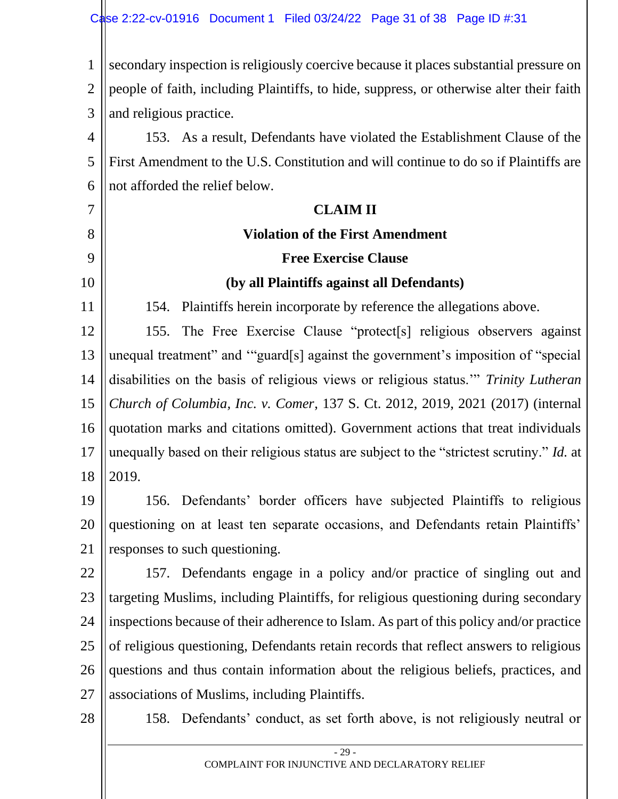1 2 3 secondary inspection is religiously coercive because it places substantial pressure on people of faith, including Plaintiffs, to hide, suppress, or otherwise alter their faith and religious practice.

4 5 6 153. As a result, Defendants have violated the Establishment Clause of the First Amendment to the U.S. Constitution and will continue to do so if Plaintiffs are not afforded the relief below.

# **CLAIM II**

# **Violation of the First Amendment**

# **(by all Plaintiffs against all Defendants)**

**Free Exercise Clause**

154. Plaintiffs herein incorporate by reference the allegations above.

12 13 14 15 16 17 18 155. The Free Exercise Clause "protect[s] religious observers against unequal treatment" and '"guard[s] against the government's imposition of "special disabilities on the basis of religious views or religious status.'" *Trinity Lutheran Church of Columbia, Inc. v. Comer*, 137 S. Ct. 2012, 2019, 2021 (2017) (internal quotation marks and citations omitted). Government actions that treat individuals unequally based on their religious status are subject to the "strictest scrutiny." *Id.* at 2019.

19 20 21 156. Defendants' border officers have subjected Plaintiffs to religious questioning on at least ten separate occasions, and Defendants retain Plaintiffs' responses to such questioning.

22 23 24 25 26 27 157. Defendants engage in a policy and/or practice of singling out and targeting Muslims, including Plaintiffs, for religious questioning during secondary inspections because of their adherence to Islam. As part of this policy and/or practice of religious questioning, Defendants retain records that reflect answers to religious questions and thus contain information about the religious beliefs, practices, and associations of Muslims, including Plaintiffs.

28

7

8

9

10

11

158. Defendants' conduct, as set forth above, is not religiously neutral or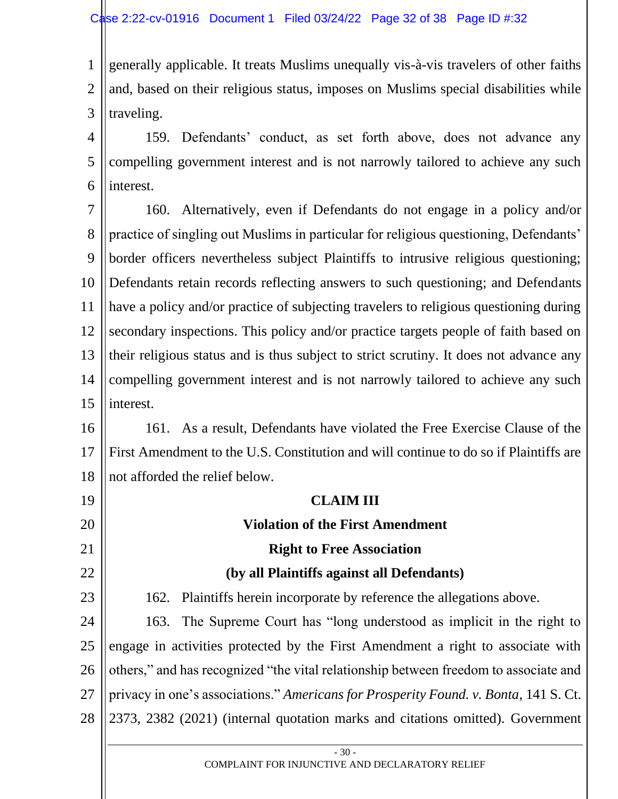1 2 3 generally applicable. It treats Muslims unequally vis-à-vis travelers of other faiths and, based on their religious status, imposes on Muslims special disabilities while traveling.

4 5 6 159. Defendants' conduct, as set forth above, does not advance any compelling government interest and is not narrowly tailored to achieve any such interest.

7 8 9 10 11 12 13 14 15 160. Alternatively, even if Defendants do not engage in a policy and/or practice of singling out Muslims in particular for religious questioning, Defendants' border officers nevertheless subject Plaintiffs to intrusive religious questioning; Defendants retain records reflecting answers to such questioning; and Defendants have a policy and/or practice of subjecting travelers to religious questioning during secondary inspections. This policy and/or practice targets people of faith based on their religious status and is thus subject to strict scrutiny. It does not advance any compelling government interest and is not narrowly tailored to achieve any such interest.

16 17 18 161. As a result, Defendants have violated the Free Exercise Clause of the First Amendment to the U.S. Constitution and will continue to do so if Plaintiffs are not afforded the relief below.

# **CLAIM III**

# **Violation of the First Amendment Right to Free Association (by all Plaintiffs against all Defendants)** 162. Plaintiffs herein incorporate by reference the allegations above.

19

20

21

22

23

24 25 26 27 28 163. The Supreme Court has "long understood as implicit in the right to engage in activities protected by the First Amendment a right to associate with others," and has recognized "the vital relationship between freedom to associate and privacy in one's associations." *Americans for Prosperity Found. v. Bonta*, 141 S. Ct. 2373, 2382 (2021) (internal quotation marks and citations omitted). Government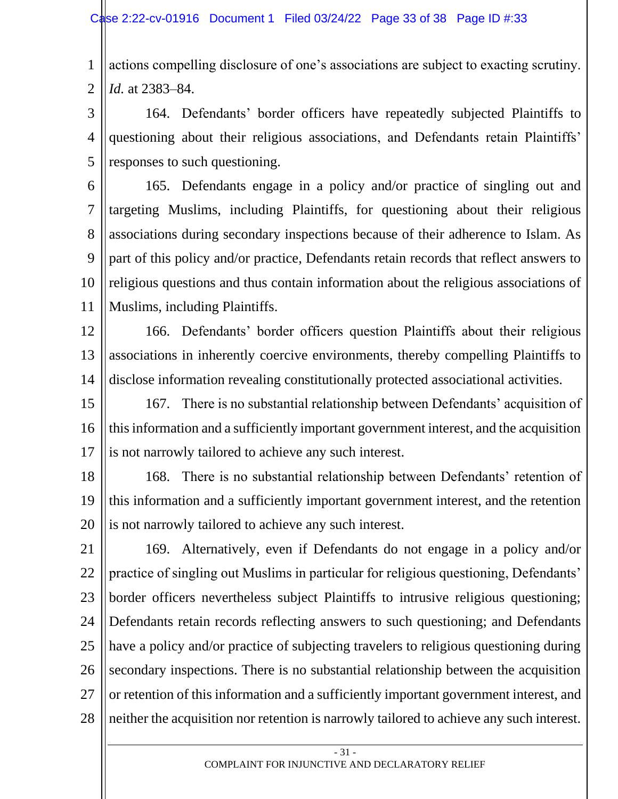1 2 actions compelling disclosure of one's associations are subject to exacting scrutiny. *Id.* at 2383–84.

3 4 5 164. Defendants' border officers have repeatedly subjected Plaintiffs to questioning about their religious associations, and Defendants retain Plaintiffs' responses to such questioning.

6 7 8 9 10 11 165. Defendants engage in a policy and/or practice of singling out and targeting Muslims, including Plaintiffs, for questioning about their religious associations during secondary inspections because of their adherence to Islam. As part of this policy and/or practice, Defendants retain records that reflect answers to religious questions and thus contain information about the religious associations of Muslims, including Plaintiffs.

12 13 14 166. Defendants' border officers question Plaintiffs about their religious associations in inherently coercive environments, thereby compelling Plaintiffs to disclose information revealing constitutionally protected associational activities.

15 16 17 167. There is no substantial relationship between Defendants' acquisition of this information and a sufficiently important government interest, and the acquisition is not narrowly tailored to achieve any such interest.

18 19 20 168. There is no substantial relationship between Defendants' retention of this information and a sufficiently important government interest, and the retention is not narrowly tailored to achieve any such interest.

21 22 23 24 25 26 27 28 169. Alternatively, even if Defendants do not engage in a policy and/or practice of singling out Muslims in particular for religious questioning, Defendants' border officers nevertheless subject Plaintiffs to intrusive religious questioning; Defendants retain records reflecting answers to such questioning; and Defendants have a policy and/or practice of subjecting travelers to religious questioning during secondary inspections. There is no substantial relationship between the acquisition or retention of this information and a sufficiently important government interest, and neither the acquisition nor retention is narrowly tailored to achieve any such interest.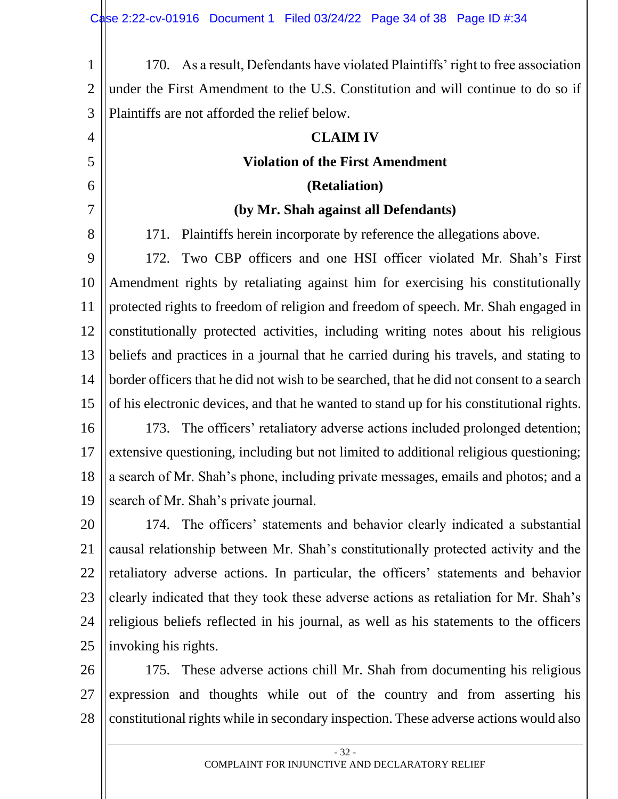1 2 3 4 5 6 7 8 9 10 11 12 13 14 15 16 17 18 19 20 21 22 23 24 25 26 170. As a result, Defendants have violated Plaintiffs' right to free association under the First Amendment to the U.S. Constitution and will continue to do so if Plaintiffs are not afforded the relief below. **CLAIM IV Violation of the First Amendment (Retaliation) (by Mr. Shah against all Defendants)** 171. Plaintiffs herein incorporate by reference the allegations above. 172. Two CBP officers and one HSI officer violated Mr. Shah's First Amendment rights by retaliating against him for exercising his constitutionally protected rights to freedom of religion and freedom of speech. Mr. Shah engaged in constitutionally protected activities, including writing notes about his religious beliefs and practices in a journal that he carried during his travels, and stating to border officers that he did not wish to be searched, that he did not consent to a search of his electronic devices, and that he wanted to stand up for his constitutional rights. 173. The officers' retaliatory adverse actions included prolonged detention; extensive questioning, including but not limited to additional religious questioning; a search of Mr. Shah's phone, including private messages, emails and photos; and a search of Mr. Shah's private journal. 174. The officers' statements and behavior clearly indicated a substantial causal relationship between Mr. Shah's constitutionally protected activity and the retaliatory adverse actions. In particular, the officers' statements and behavior clearly indicated that they took these adverse actions as retaliation for Mr. Shah's religious beliefs reflected in his journal, as well as his statements to the officers invoking his rights. 175. These adverse actions chill Mr. Shah from documenting his religious

27 28 expression and thoughts while out of the country and from asserting his constitutional rights while in secondary inspection. These adverse actions would also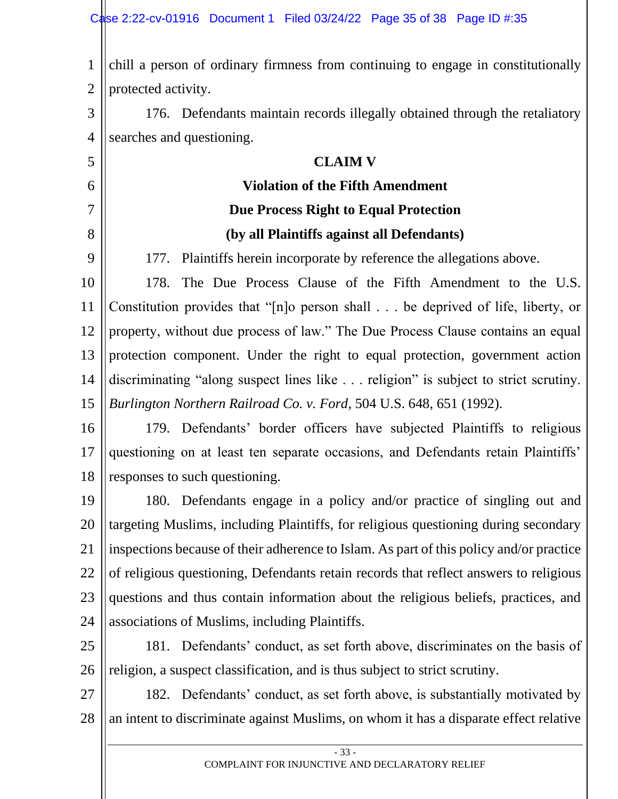1 2 3 4 5 6 7 8 9 10 11 12 13 14 15 16 17 18 19 20 21 22 23 24 25 26 27 chill a person of ordinary firmness from continuing to engage in constitutionally protected activity. 176. Defendants maintain records illegally obtained through the retaliatory searches and questioning. **CLAIM V Violation of the Fifth Amendment Due Process Right to Equal Protection (by all Plaintiffs against all Defendants)** 177. Plaintiffs herein incorporate by reference the allegations above. 178. The Due Process Clause of the Fifth Amendment to the U.S. Constitution provides that "[n]o person shall . . . be deprived of life, liberty, or property, without due process of law." The Due Process Clause contains an equal protection component. Under the right to equal protection, government action discriminating "along suspect lines like . . . religion" is subject to strict scrutiny. *Burlington Northern Railroad Co. v. Ford*, 504 U.S. 648, 651 (1992). 179. Defendants' border officers have subjected Plaintiffs to religious questioning on at least ten separate occasions, and Defendants retain Plaintiffs' responses to such questioning. 180. Defendants engage in a policy and/or practice of singling out and targeting Muslims, including Plaintiffs, for religious questioning during secondary inspections because of their adherence to Islam. As part of this policy and/or practice of religious questioning, Defendants retain records that reflect answers to religious questions and thus contain information about the religious beliefs, practices, and associations of Muslims, including Plaintiffs. 181. Defendants' conduct, as set forth above, discriminates on the basis of religion, a suspect classification, and is thus subject to strict scrutiny. 182. Defendants' conduct, as set forth above, is substantially motivated by

- 33 -

an intent to discriminate against Muslims, on whom it has a disparate effect relative

28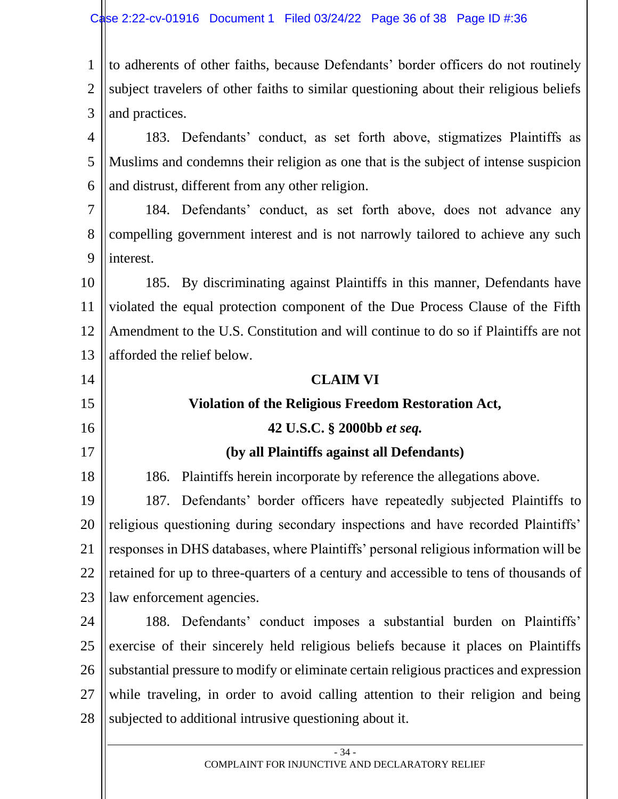1 2 3 to adherents of other faiths, because Defendants' border officers do not routinely subject travelers of other faiths to similar questioning about their religious beliefs and practices.

4 5 6 183. Defendants' conduct, as set forth above, stigmatizes Plaintiffs as Muslims and condemns their religion as one that is the subject of intense suspicion and distrust, different from any other religion.

7 8 9 184. Defendants' conduct, as set forth above, does not advance any compelling government interest and is not narrowly tailored to achieve any such interest.

10 11 12 13 185. By discriminating against Plaintiffs in this manner, Defendants have violated the equal protection component of the Due Process Clause of the Fifth Amendment to the U.S. Constitution and will continue to do so if Plaintiffs are not afforded the relief below.

#### 14 15 16 17 18 19 20 21 22 23 **CLAIM VI Violation of the Religious Freedom Restoration Act, 42 U.S.C. § 2000bb** *et seq.* **(by all Plaintiffs against all Defendants)** 186. Plaintiffs herein incorporate by reference the allegations above. 187. Defendants' border officers have repeatedly subjected Plaintiffs to religious questioning during secondary inspections and have recorded Plaintiffs' responses in DHS databases, where Plaintiffs' personal religious information will be retained for up to three-quarters of a century and accessible to tens of thousands of law enforcement agencies.

24 25 26 27 28 188. Defendants' conduct imposes a substantial burden on Plaintiffs' exercise of their sincerely held religious beliefs because it places on Plaintiffs substantial pressure to modify or eliminate certain religious practices and expression while traveling, in order to avoid calling attention to their religion and being subjected to additional intrusive questioning about it.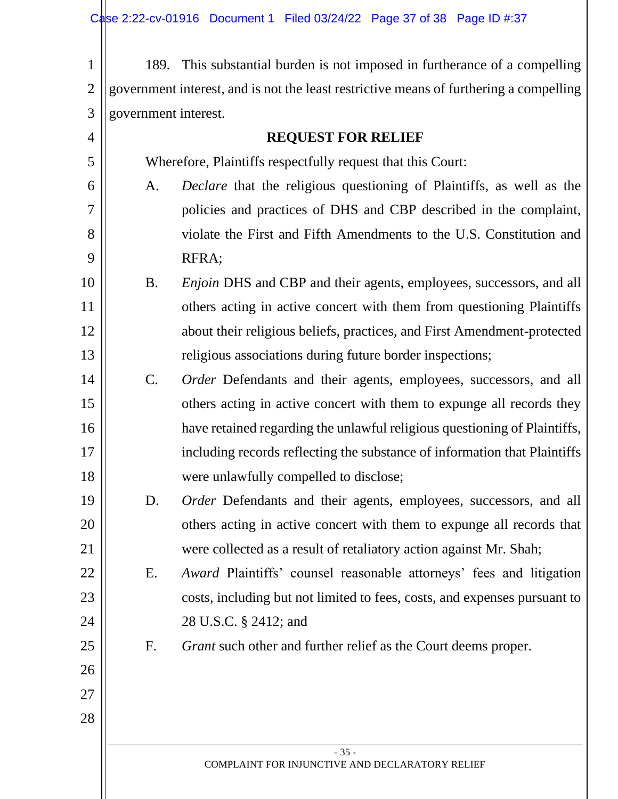| $\mathbf{1}$   |                                                                                        | 189. This substantial burden is not imposed in furtherance of a compelling |  |  |  |  |  |
|----------------|----------------------------------------------------------------------------------------|----------------------------------------------------------------------------|--|--|--|--|--|
| $\overline{2}$ | government interest, and is not the least restrictive means of furthering a compelling |                                                                            |  |  |  |  |  |
| 3              | government interest.                                                                   |                                                                            |  |  |  |  |  |
| $\overline{4}$ | <b>REQUEST FOR RELIEF</b>                                                              |                                                                            |  |  |  |  |  |
| 5              | Wherefore, Plaintiffs respectfully request that this Court:                            |                                                                            |  |  |  |  |  |
| 6              | A.                                                                                     | Declare that the religious questioning of Plaintiffs, as well as the       |  |  |  |  |  |
| 7              |                                                                                        | policies and practices of DHS and CBP described in the complaint,          |  |  |  |  |  |
| 8              |                                                                                        | violate the First and Fifth Amendments to the U.S. Constitution and        |  |  |  |  |  |
| 9              |                                                                                        | RFRA;                                                                      |  |  |  |  |  |
| 10             | <b>B.</b>                                                                              | <i>Enjoin</i> DHS and CBP and their agents, employees, successors, and all |  |  |  |  |  |
| 11             |                                                                                        | others acting in active concert with them from questioning Plaintiffs      |  |  |  |  |  |
| 12             |                                                                                        | about their religious beliefs, practices, and First Amendment-protected    |  |  |  |  |  |
| 13             |                                                                                        | religious associations during future border inspections;                   |  |  |  |  |  |
| 14             | $\mathbf{C}$ .                                                                         | Order Defendants and their agents, employees, successors, and all          |  |  |  |  |  |
| 15             |                                                                                        | others acting in active concert with them to expunge all records they      |  |  |  |  |  |
| 16             |                                                                                        | have retained regarding the unlawful religious questioning of Plaintiffs,  |  |  |  |  |  |
| 17             |                                                                                        | including records reflecting the substance of information that Plaintiffs  |  |  |  |  |  |
| 18             |                                                                                        | were unlawfully compelled to disclose;                                     |  |  |  |  |  |
| 19             | D.                                                                                     | Order Defendants and their agents, employees, successors, and all          |  |  |  |  |  |
| 20             |                                                                                        | others acting in active concert with them to expunge all records that      |  |  |  |  |  |
| 21             |                                                                                        | were collected as a result of retaliatory action against Mr. Shah;         |  |  |  |  |  |
| 22             | Ε.                                                                                     | Award Plaintiffs' counsel reasonable attorneys' fees and litigation        |  |  |  |  |  |
| 23             |                                                                                        | costs, including but not limited to fees, costs, and expenses pursuant to  |  |  |  |  |  |
| 24             |                                                                                        | 28 U.S.C. § 2412; and                                                      |  |  |  |  |  |
| 25             | F.                                                                                     | <i>Grant</i> such other and further relief as the Court deems proper.      |  |  |  |  |  |
| 26             |                                                                                        |                                                                            |  |  |  |  |  |
| 27             |                                                                                        |                                                                            |  |  |  |  |  |
| 28             |                                                                                        |                                                                            |  |  |  |  |  |
|                |                                                                                        | $-35-$                                                                     |  |  |  |  |  |
|                |                                                                                        | COMPLAINT FOR INJUNCTIVE AND DECLARATORY RELIEF                            |  |  |  |  |  |
|                |                                                                                        |                                                                            |  |  |  |  |  |